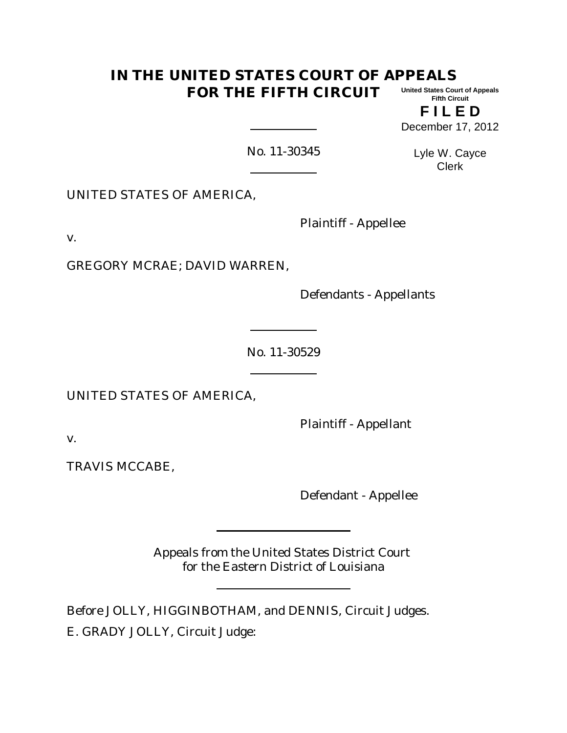#### **IN THE UNITED STATES COURT OF APPEALS FOR THE FIFTH CIRCUIT United States Court of Appeals Fifth Circuit**

**F I L E D** December 17, 2012

No. 11-30345

Lyle W. Cayce Clerk

UNITED STATES OF AMERICA,

Plaintiff - Appellee

v.

GREGORY MCRAE; DAVID WARREN,

Defendants - Appellants

No. 11-30529

UNITED STATES OF AMERICA,

Plaintiff - Appellant

v.

TRAVIS MCCABE,

Defendant - Appellee

Appeals from the United States District Court for the Eastern District of Louisiana

Before JOLLY, HIGGINBOTHAM, and DENNIS, Circuit Judges. E. GRADY JOLLY, Circuit Judge: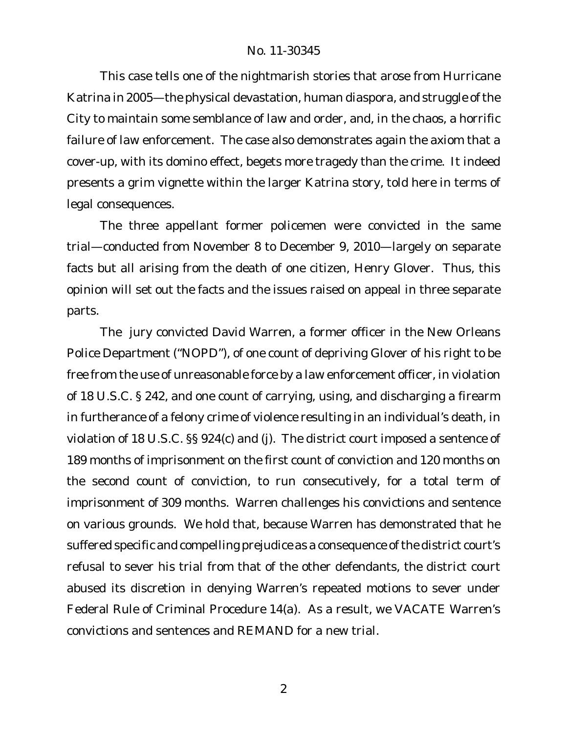This case tells one of the nightmarish stories that arose from Hurricane Katrina in 2005—the physical devastation, human diaspora, and struggle of the City to maintain some semblance of law and order, and, in the chaos, a horrific failure of law enforcement. The case also demonstrates again the axiom that a cover-up, with its domino effect, begets more tragedy than the crime. It indeed presents a grim vignette within the larger Katrina story, told here in terms of legal consequences.

The three appellant former policemen were convicted in the same trial—conducted from November 8 to December 9, 2010—largely on separate facts but all arising from the death of one citizen, Henry Glover. Thus, this opinion will set out the facts and the issues raised on appeal in three separate parts.

The jury convicted David Warren, a former officer in the New Orleans Police Department ("NOPD"), of one count of depriving Glover of his right to be free from the use of unreasonable force by a law enforcement officer, in violation of 18 U.S.C. § 242, and one count of carrying, using, and discharging a firearm in furtherance of a felony crime of violence resulting in an individual's death, in violation of 18 U.S.C. §§ 924(c) and (j). The district court imposed a sentence of 189 months of imprisonment on the first count of conviction and 120 months on the second count of conviction, to run consecutively, for a total term of imprisonment of 309 months. Warren challenges his convictions and sentence on various grounds. We hold that, because Warren has demonstrated that he suffered specific and compelling prejudice as a consequence of the district court's refusal to sever his trial from that of the other defendants, the district court abused its discretion in denying Warren's repeated motions to sever under Federal Rule of Criminal Procedure 14(a). As a result, we VACATE Warren's convictions and sentences and REMAND for a new trial.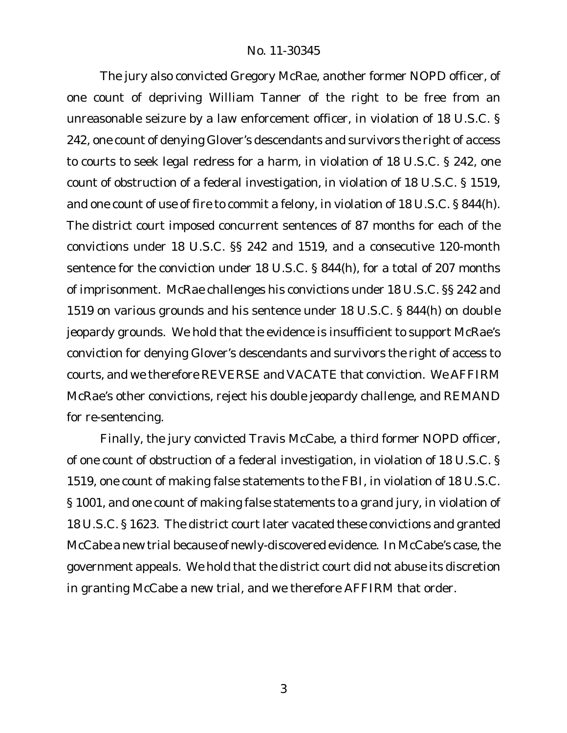The jury also convicted Gregory McRae, another former NOPD officer, of one count of depriving William Tanner of the right to be free from an unreasonable seizure by a law enforcement officer, in violation of 18 U.S.C. § 242, one count of denying Glover's descendants and survivors the right of access to courts to seek legal redress for a harm, in violation of 18 U.S.C. § 242, one count of obstruction of a federal investigation, in violation of 18 U.S.C. § 1519, and one count of use of fire to commit a felony, in violation of 18 U.S.C. § 844(h). The district court imposed concurrent sentences of 87 months for each of the convictions under 18 U.S.C. §§ 242 and 1519, and a consecutive 120-month sentence for the conviction under 18 U.S.C. § 844(h), for a total of 207 months of imprisonment. McRae challenges his convictions under 18 U.S.C. §§ 242 and 1519 on various grounds and his sentence under 18 U.S.C. § 844(h) on double jeopardy grounds. We hold that the evidence is insufficient to support McRae's conviction for denying Glover's descendants and survivors the right of access to courts, and we therefore REVERSE and VACATE that conviction. We AFFIRM McRae's other convictions, reject his double jeopardy challenge, and REMAND for re-sentencing.

Finally, the jury convicted Travis McCabe, a third former NOPD officer, of one count of obstruction of a federal investigation, in violation of 18 U.S.C. § 1519, one count of making false statements to the FBI, in violation of 18 U.S.C. § 1001, and one count of making false statements to a grand jury, in violation of 18 U.S.C. § 1623. The district court later vacated these convictions and granted McCabe a new trial because of newly-discovered evidence. In McCabe's case, the government appeals. We hold that the district court did not abuse its discretion in granting McCabe a new trial, and we therefore AFFIRM that order.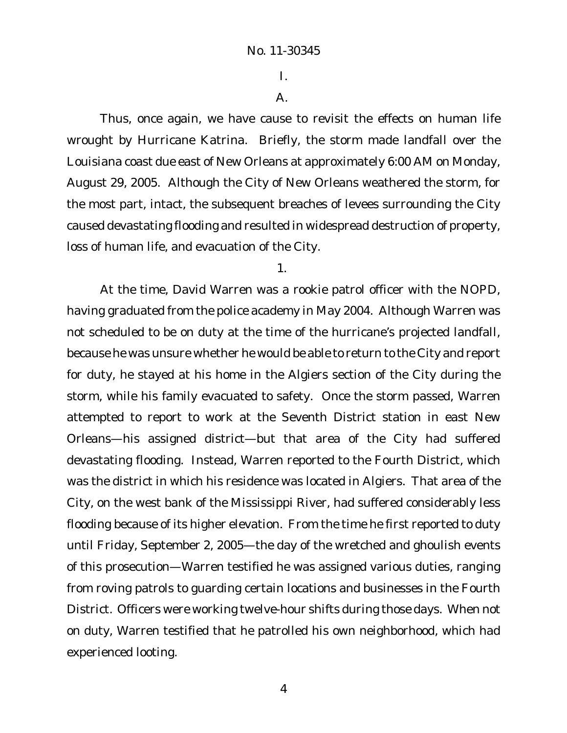I.

A.

Thus, once again, we have cause to revisit the effects on human life wrought by Hurricane Katrina. Briefly, the storm made landfall over the Louisiana coast due east of New Orleans at approximately 6:00 AM on Monday, August 29, 2005. Although the City of New Orleans weathered the storm, for the most part, intact, the subsequent breaches of levees surrounding the City caused devastating flooding and resulted in widespread destruction of property, loss of human life, and evacuation of the City.

1.

At the time, David Warren was a rookie patrol officer with the NOPD, having graduated from the police academy in May 2004. Although Warren was not scheduled to be on duty at the time of the hurricane's projected landfall, because he was unsure whether he would be able to return to the City and report for duty, he stayed at his home in the Algiers section of the City during the storm, while his family evacuated to safety. Once the storm passed, Warren attempted to report to work at the Seventh District station in east New Orleans—his assigned district—but that area of the City had suffered devastating flooding. Instead, Warren reported to the Fourth District, which was the district in which his residence was located in Algiers. That area of the City, on the west bank of the Mississippi River, had suffered considerably less flooding because of its higher elevation. From the time he first reported to duty until Friday, September 2, 2005—the day of the wretched and ghoulish events of this prosecution—Warren testified he was assigned various duties, ranging from roving patrols to guarding certain locations and businesses in the Fourth District. Officers were working twelve-hour shifts during those days. When not on duty, Warren testified that he patrolled his own neighborhood, which had experienced looting.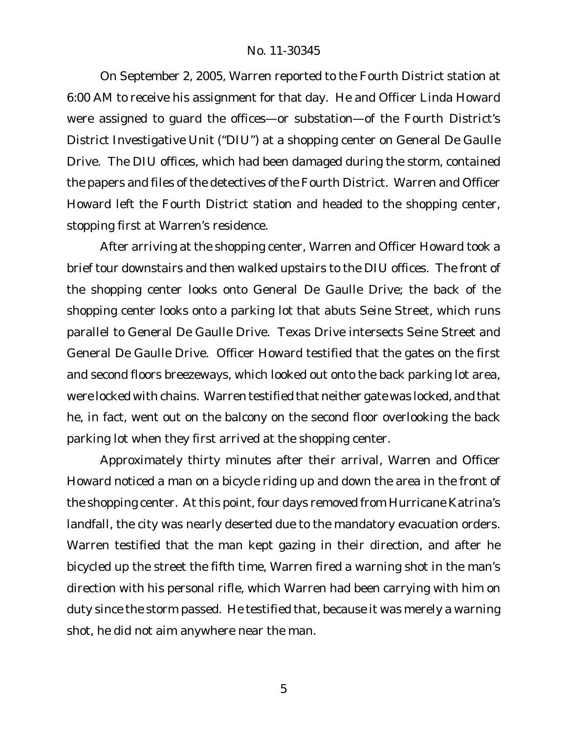On September 2, 2005, Warren reported to the Fourth District station at 6:00 AM to receive his assignment for that day. He and Officer Linda Howard were assigned to guard the offices—or substation—of the Fourth District's District Investigative Unit ("DIU") at a shopping center on General De Gaulle Drive. The DIU offices, which had been damaged during the storm, contained the papers and files of the detectives of the Fourth District. Warren and Officer Howard left the Fourth District station and headed to the shopping center, stopping first at Warren's residence.

After arriving at the shopping center, Warren and Officer Howard took a brief tour downstairs and then walked upstairs to the DIU offices. The front of the shopping center looks onto General De Gaulle Drive; the back of the shopping center looks onto a parking lot that abuts Seine Street, which runs parallel to General De Gaulle Drive. Texas Drive intersects Seine Street and General De Gaulle Drive. Officer Howard testified that the gates on the first and second floors breezeways, which looked out onto the back parking lot area, were locked with chains. Warren testified that neither gate was locked, and that he, in fact, went out on the balcony on the second floor overlooking the back parking lot when they first arrived at the shopping center.

Approximately thirty minutes after their arrival, Warren and Officer Howard noticed a man on a bicycle riding up and down the area in the front of the shopping center. At this point, four days removed from Hurricane Katrina's landfall, the city was nearly deserted due to the mandatory evacuation orders. Warren testified that the man kept gazing in their direction, and after he bicycled up the street the fifth time, Warren fired a warning shot in the man's direction with his personal rifle, which Warren had been carrying with him on duty since the storm passed. He testified that, because it was merely a warning shot, he did not aim anywhere near the man.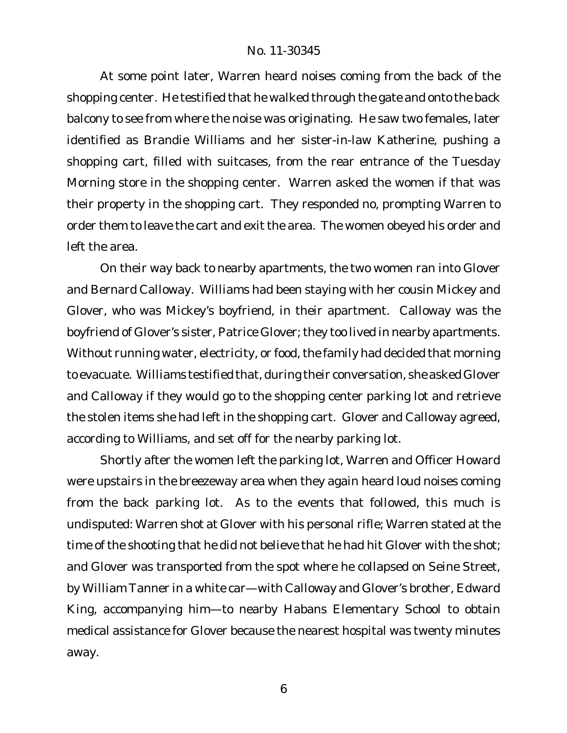At some point later, Warren heard noises coming from the back of the shopping center. He testified that he walked through the gate and onto the back balcony to see from where the noise was originating. He saw two females, later identified as Brandie Williams and her sister-in-law Katherine, pushing a shopping cart, filled with suitcases, from the rear entrance of the Tuesday Morning store in the shopping center. Warren asked the women if that was their property in the shopping cart. They responded no, prompting Warren to order them to leave the cart and exit the area. The women obeyed his order and left the area.

On their way back to nearby apartments, the two women ran into Glover and Bernard Calloway. Williams had been staying with her cousin Mickey and Glover, who was Mickey's boyfriend, in their apartment. Calloway was the boyfriend of Glover's sister, Patrice Glover; they too lived in nearby apartments. Without running water, electricity, or food, the family had decided that morning to evacuate. Williams testified that, during their conversation, she asked Glover and Calloway if they would go to the shopping center parking lot and retrieve the stolen items she had left in the shopping cart. Glover and Calloway agreed, according to Williams, and set off for the nearby parking lot.

Shortly after the women left the parking lot, Warren and Officer Howard were upstairs in the breezeway area when they again heard loud noises coming from the back parking lot. As to the events that followed, this much is undisputed: Warren shot at Glover with his personal rifle; Warren stated at the time of the shooting that he did not believe that he had hit Glover with the shot; and Glover was transported from the spot where he collapsed on Seine Street, by William Tanner in a white car—with Calloway and Glover's brother, Edward King, accompanying him—to nearby Habans Elementary School to obtain medical assistance for Glover because the nearest hospital was twenty minutes away.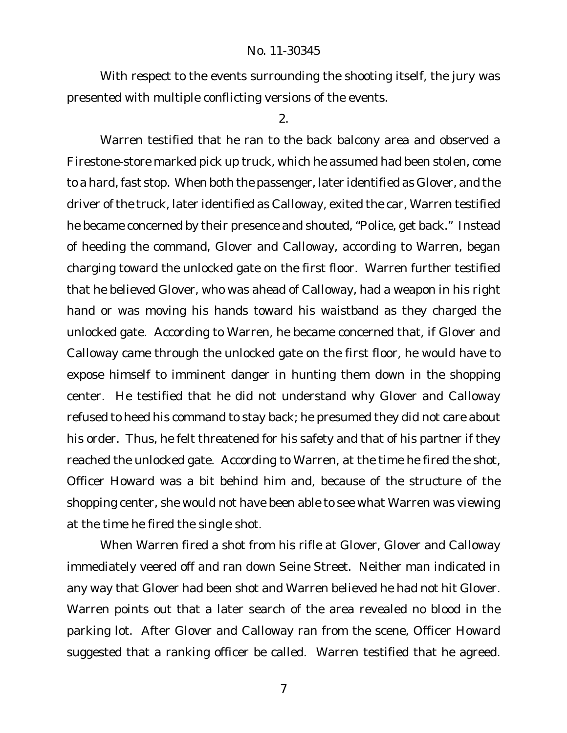With respect to the events surrounding the shooting itself, the jury was presented with multiple conflicting versions of the events.

### 2.

Warren testified that he ran to the back balcony area and observed a Firestone-store marked pick up truck, which he assumed had been stolen, come to a hard, fast stop. When both the passenger, later identified as Glover, and the driver of the truck, later identified as Calloway, exited the car, Warren testified he became concerned by their presence and shouted, "Police, get back." Instead of heeding the command, Glover and Calloway, according to Warren, began charging toward the unlocked gate on the first floor. Warren further testified that he believed Glover, who was ahead of Calloway, had a weapon in his right hand or was moving his hands toward his waistband as they charged the unlocked gate. According to Warren, he became concerned that, if Glover and Calloway came through the unlocked gate on the first floor, he would have to expose himself to imminent danger in hunting them down in the shopping center. He testified that he did not understand why Glover and Calloway refused to heed his command to stay back; he presumed they did not care about his order. Thus, he felt threatened for his safety and that of his partner if they reached the unlocked gate. According to Warren, at the time he fired the shot, Officer Howard was a bit behind him and, because of the structure of the shopping center, she would not have been able to see what Warren was viewing at the time he fired the single shot.

When Warren fired a shot from his rifle at Glover, Glover and Calloway immediately veered off and ran down Seine Street. Neither man indicated in any way that Glover had been shot and Warren believed he had not hit Glover. Warren points out that a later search of the area revealed no blood in the parking lot. After Glover and Calloway ran from the scene, Officer Howard suggested that a ranking officer be called. Warren testified that he agreed.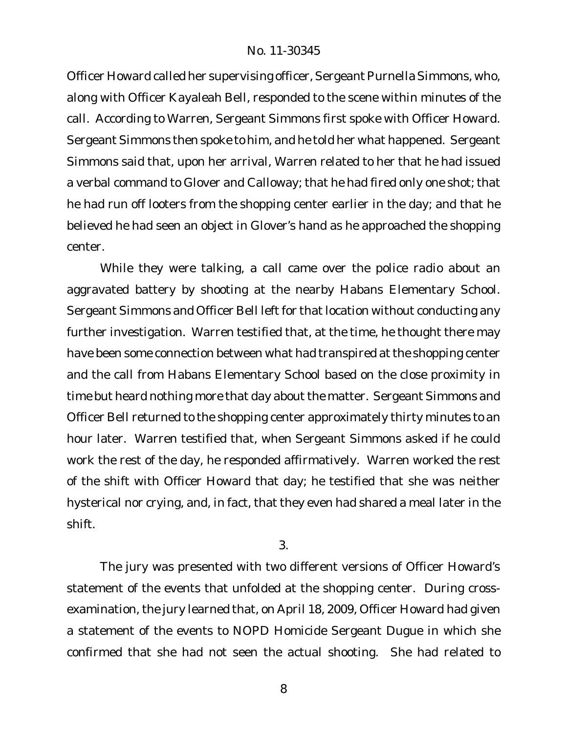Officer Howard called her supervising officer, Sergeant Purnella Simmons, who, along with Officer Kayaleah Bell, responded to the scene within minutes of the call. According to Warren, Sergeant Simmons first spoke with Officer Howard. Sergeant Simmons then spoke to him, and he told her what happened. Sergeant Simmons said that, upon her arrival, Warren related to her that he had issued a verbal command to Glover and Calloway; that he had fired only one shot; that he had run off looters from the shopping center earlier in the day; and that he believed he had seen an object in Glover's hand as he approached the shopping center.

While they were talking, a call came over the police radio about an aggravated battery by shooting at the nearby Habans Elementary School. Sergeant Simmons and Officer Bell left for that location without conducting any further investigation. Warren testified that, at the time, he thought there may have been some connection between what had transpired at the shopping center and the call from Habans Elementary School based on the close proximity in time but heard nothing more that day about the matter. Sergeant Simmons and Officer Bell returned to the shopping center approximately thirty minutes to an hour later. Warren testified that, when Sergeant Simmons asked if he could work the rest of the day, he responded affirmatively. Warren worked the rest of the shift with Officer Howard that day; he testified that she was neither hysterical nor crying, and, in fact, that they even had shared a meal later in the shift.

3.

The jury was presented with two different versions of Officer Howard's statement of the events that unfolded at the shopping center. During crossexamination, the jury learned that, on April 18, 2009, Officer Howard had given a statement of the events to NOPD Homicide Sergeant Dugue in which she confirmed that she had not seen the actual shooting. She had related to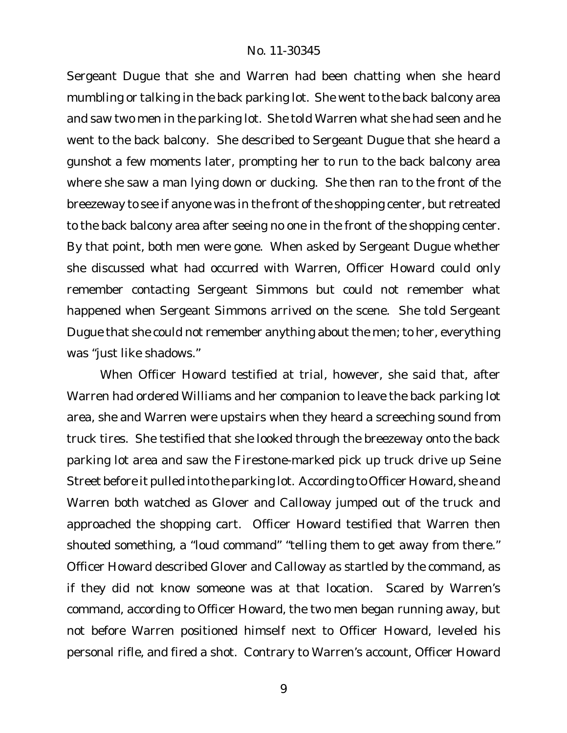Sergeant Dugue that she and Warren had been chatting when she heard mumbling or talking in the back parking lot. She went to the back balcony area and saw two men in the parking lot. She told Warren what she had seen and he went to the back balcony. She described to Sergeant Dugue that she heard a gunshot a few moments later, prompting her to run to the back balcony area where she saw a man lying down or ducking. She then ran to the front of the breezeway to see if anyone was in the front of the shopping center, but retreated to the back balcony area after seeing no one in the front of the shopping center. By that point, both men were gone. When asked by Sergeant Dugue whether she discussed what had occurred with Warren, Officer Howard could only remember contacting Sergeant Simmons but could not remember what happened when Sergeant Simmons arrived on the scene. She told Sergeant Dugue that she could not remember anything about the men; to her, everything was "just like shadows."

When Officer Howard testified at trial, however, she said that, after Warren had ordered Williams and her companion to leave the back parking lot area, she and Warren were upstairs when they heard a screeching sound from truck tires. She testified that she looked through the breezeway onto the back parking lot area and saw the Firestone-marked pick up truck drive up Seine Street before it pulled into the parking lot. According to Officer Howard, she and Warren both watched as Glover and Calloway jumped out of the truck and approached the shopping cart. Officer Howard testified that Warren then shouted something, a "loud command" "telling them to get away from there." Officer Howard described Glover and Calloway as startled by the command, as if they did not know someone was at that location. Scared by Warren's command, according to Officer Howard, the two men began running away, but not before Warren positioned himself next to Officer Howard, leveled his personal rifle, and fired a shot. Contrary to Warren's account, Officer Howard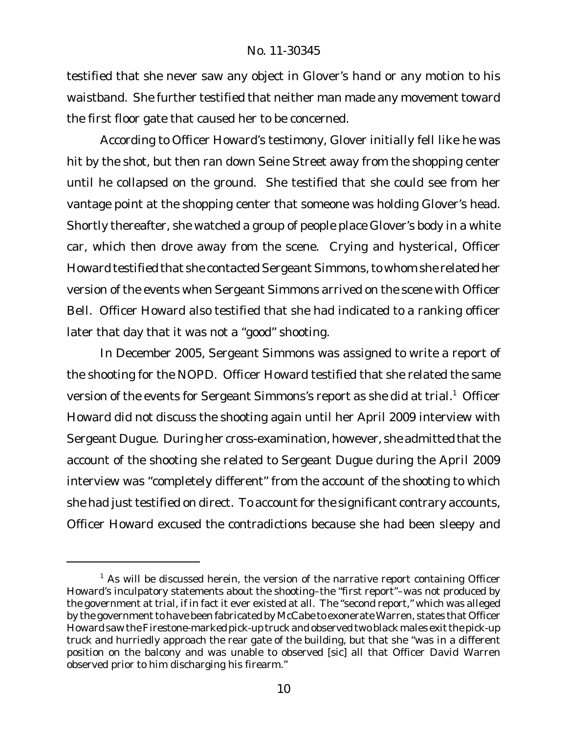testified that she never saw any object in Glover's hand or any motion to his waistband. She further testified that neither man made any movement toward the first floor gate that caused her to be concerned.

According to Officer Howard's testimony, Glover initially fell like he was hit by the shot, but then ran down Seine Street away from the shopping center until he collapsed on the ground. She testified that she could see from her vantage point at the shopping center that someone was holding Glover's head. Shortly thereafter, she watched a group of people place Glover's body in a white car, which then drove away from the scene. Crying and hysterical, Officer Howard testified that she contacted Sergeant Simmons, to whom she related her version of the events when Sergeant Simmons arrived on the scene with Officer Bell. Officer Howard also testified that she had indicated to a ranking officer later that day that it was not a "good" shooting.

In December 2005, Sergeant Simmons was assigned to write a report of the shooting for the NOPD. Officer Howard testified that she related the same version of the events for Sergeant Simmons's report as she did at trial.<sup>1</sup> Officer Howard did not discuss the shooting again until her April 2009 interview with Sergeant Dugue. During her cross-examination, however, she admitted that the account of the shooting she related to Sergeant Dugue during the April 2009 interview was "completely different" from the account of the shooting to which she had just testified on direct. To account for the significant contrary accounts, Officer Howard excused the contradictions because she had been sleepy and

 $1$  As will be discussed herein, the version of the narrative report containing Officer Howard's inculpatory statements about the shooting–the "first report"–was not produced by the government at trial, if in fact it ever existed at all. The "second report," which was alleged by the government to have been fabricated by McCabe to exonerate Warren, states that Officer Howard saw the Firestone-marked pick-up truck and observed two black males exit the pick-up truck and hurriedly approach the rear gate of the building, but that she "was in a different position on the balcony and was unable to observed [sic] all that Officer David Warren observed prior to him discharging his firearm."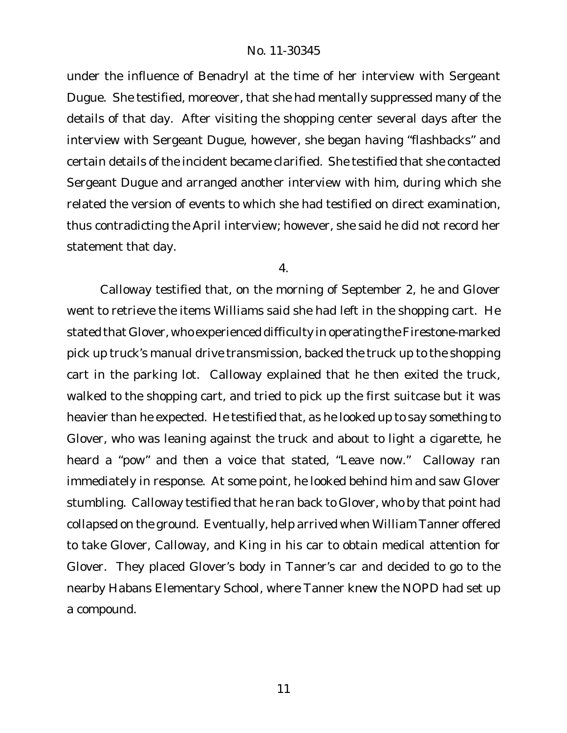under the influence of Benadryl at the time of her interview with Sergeant Dugue. She testified, moreover, that she had mentally suppressed many of the details of that day. After visiting the shopping center several days after the interview with Sergeant Dugue, however, she began having "flashbacks" and certain details of the incident became clarified. She testified that she contacted Sergeant Dugue and arranged another interview with him, during which she related the version of events to which she had testified on direct examination, thus contradicting the April interview; however, she said he did not record her statement that day.

4.

Calloway testified that, on the morning of September 2, he and Glover went to retrieve the items Williams said she had left in the shopping cart. He stated that Glover, who experienced difficulty in operating the Firestone-marked pick up truck's manual drive transmission, backed the truck up to the shopping cart in the parking lot. Calloway explained that he then exited the truck, walked to the shopping cart, and tried to pick up the first suitcase but it was heavier than he expected. He testified that, as he looked up to say something to Glover, who was leaning against the truck and about to light a cigarette, he heard a "pow" and then a voice that stated, "Leave now." Calloway ran immediately in response. At some point, he looked behind him and saw Glover stumbling. Calloway testified that he ran back to Glover, who by that point had collapsed on the ground. Eventually, help arrived when William Tanner offered to take Glover, Calloway, and King in his car to obtain medical attention for Glover. They placed Glover's body in Tanner's car and decided to go to the nearby Habans Elementary School, where Tanner knew the NOPD had set up a compound.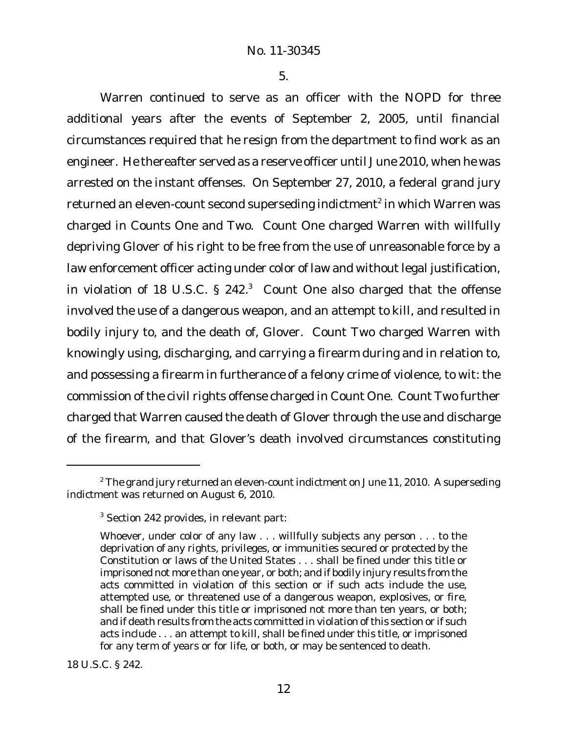5.

Warren continued to serve as an officer with the NOPD for three additional years after the events of September 2, 2005, until financial circumstances required that he resign from the department to find work as an engineer. He thereafter served as a reserve officer until June 2010, when he was arrested on the instant offenses. On September 27, 2010, a federal grand jury returned an eleven-count second superseding indictment $^{\rm 2}$  in which Warren was charged in Counts One and Two. Count One charged Warren with willfully depriving Glover of his right to be free from the use of unreasonable force by a law enforcement officer acting under color of law and without legal justification, in violation of 18 U.S.C.  $\S$  242.<sup>3</sup> Count One also charged that the offense involved the use of a dangerous weapon, and an attempt to kill, and resulted in bodily injury to, and the death of, Glover. Count Two charged Warren with knowingly using, discharging, and carrying a firearm during and in relation to, and possessing a firearm in furtherance of a felony crime of violence, to wit: the commission of the civil rights offense charged in Count One. Count Two further charged that Warren caused the death of Glover through the use and discharge of the firearm, and that Glover's death involved circumstances constituting

18 U.S.C. § 242.

 $2$  The grand jury returned an eleven-count indictment on June 11, 2010. A superseding indictment was returned on August 6, 2010.

<sup>&</sup>lt;sup>3</sup> Section 242 provides, in relevant part:

Whoever, under color of any law . . . willfully subjects any person . . . to the deprivation of any rights, privileges, or immunities secured or protected by the Constitution or laws of the United States . . . shall be fined under this title or imprisoned not more than one year, or both; and if bodily injury results from the acts committed in violation of this section or if such acts include the use, attempted use, or threatened use of a dangerous weapon, explosives, or fire, shall be fined under this title or imprisoned not more than ten years, or both; and if death results from the acts committed in violation of this section or if such acts include . . . an attempt to kill, shall be fined under this title, or imprisoned for any term of years or for life, or both, or may be sentenced to death.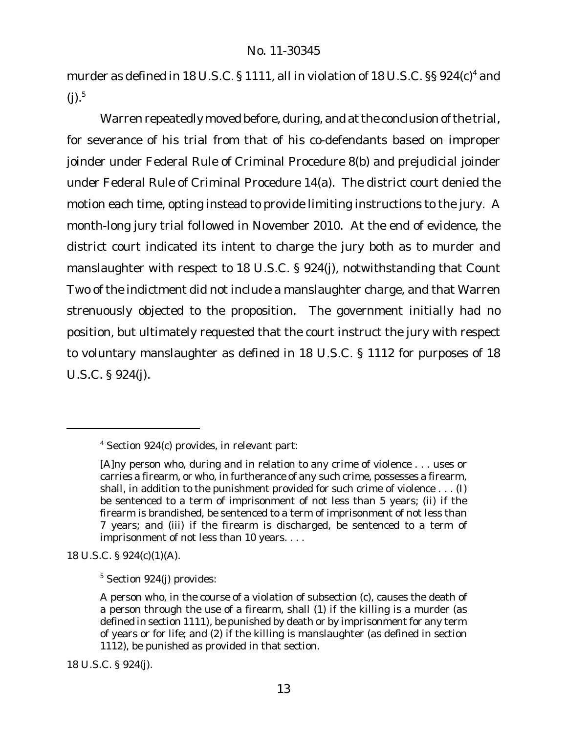murder as defined in 18 U.S.C. § 1111, all in violation of 18 U.S.C. §§ 924 $(c)^4$  and  $(i).<sup>5</sup>$ 

Warren repeatedly moved before, during, and at the conclusion of the trial, for severance of his trial from that of his co-defendants based on improper joinder under Federal Rule of Criminal Procedure 8(b) and prejudicial joinder under Federal Rule of Criminal Procedure 14(a). The district court denied the motion each time, opting instead to provide limiting instructions to the jury. A month-long jury trial followed in November 2010. At the end of evidence, the district court indicated its intent to charge the jury both as to murder and manslaughter with respect to 18 U.S.C. § 924(j), notwithstanding that Count Two of the indictment did not include a manslaughter charge, and that Warren strenuously objected to the proposition. The government initially had no position, but ultimately requested that the court instruct the jury with respect to voluntary manslaughter as defined in 18 U.S.C. § 1112 for purposes of 18 U.S.C. § 924(j).

18 U.S.C. § 924(c)(1)(A).

<sup>5</sup> Section 924(j) provides:

18 U.S.C. § 924(j).

<sup>4</sup> Section 924(c) provides, in relevant part:

<sup>[</sup>A]ny person who, during and in relation to any crime of violence . . . uses or carries a firearm, or who, in furtherance of any such crime, possesses a firearm, shall, in addition to the punishment provided for such crime of violence . . . (I) be sentenced to a term of imprisonment of not less than 5 years; (ii) if the firearm is brandished, be sentenced to a term of imprisonment of not less than 7 years; and (iii) if the firearm is discharged, be sentenced to a term of imprisonment of not less than 10 years. . . .

A person who, in the course of a violation of subsection (c), causes the death of a person through the use of a firearm, shall (1) if the killing is a murder (as defined in section 1111), be punished by death or by imprisonment for any term of years or for life; and (2) if the killing is manslaughter (as defined in section 1112), be punished as provided in that section.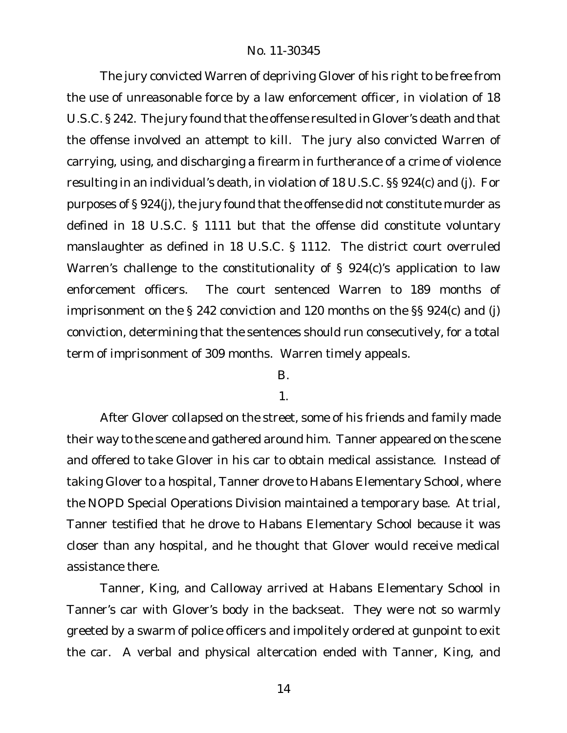The jury convicted Warren of depriving Glover of his right to be free from the use of unreasonable force by a law enforcement officer, in violation of 18 U.S.C. § 242. The jury found that the offense resulted in Glover's death and that the offense involved an attempt to kill. The jury also convicted Warren of carrying, using, and discharging a firearm in furtherance of a crime of violence resulting in an individual's death, in violation of 18 U.S.C. §§ 924(c) and (j). For purposes of § 924(j), the jury found that the offense did not constitute murder as defined in 18 U.S.C. § 1111 but that the offense did constitute voluntary manslaughter as defined in 18 U.S.C. § 1112. The district court overruled Warren's challenge to the constitutionality of § 924(c)'s application to law enforcement officers. The court sentenced Warren to 189 months of imprisonment on the § 242 conviction and 120 months on the §§ 924(c) and (j) conviction, determining that the sentences should run consecutively, for a total term of imprisonment of 309 months. Warren timely appeals.

### B.

### 1.

After Glover collapsed on the street, some of his friends and family made their way to the scene and gathered around him. Tanner appeared on the scene and offered to take Glover in his car to obtain medical assistance. Instead of taking Glover to a hospital, Tanner drove to Habans Elementary School, where the NOPD Special Operations Division maintained a temporary base. At trial, Tanner testified that he drove to Habans Elementary School because it was closer than any hospital, and he thought that Glover would receive medical assistance there.

Tanner, King, and Calloway arrived at Habans Elementary School in Tanner's car with Glover's body in the backseat. They were not so warmly greeted by a swarm of police officers and impolitely ordered at gunpoint to exit the car. A verbal and physical altercation ended with Tanner, King, and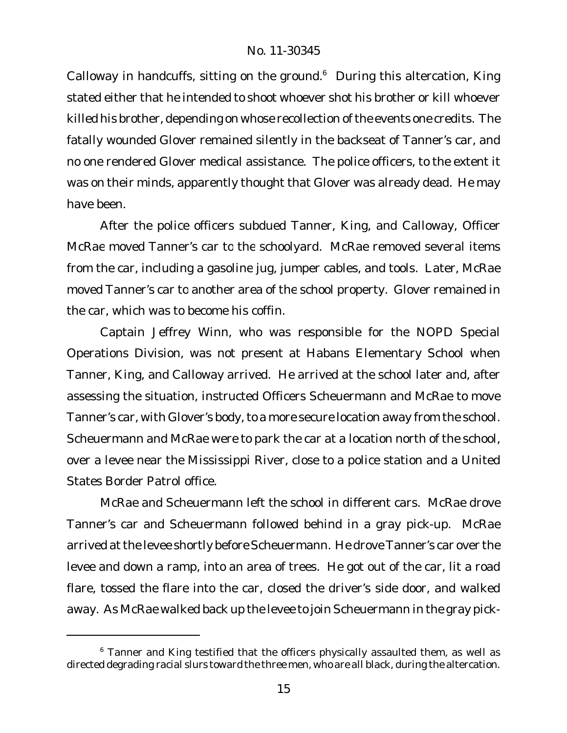Calloway in handcuffs, sitting on the ground.<sup>6</sup> During this altercation, King stated either that he intended to shoot whoever shot his brother or kill whoever killed his brother, depending on whose recollection of the events one credits. The fatally wounded Glover remained silently in the backseat of Tanner's car, and no one rendered Glover medical assistance. The police officers, to the extent it was on their minds, apparently thought that Glover was already dead. He may have been.

After the police officers subdued Tanner, King, and Calloway, Officer McRae moved Tanner's car to the schoolyard. McRae removed several items from the car, including a gasoline jug, jumper cables, and tools. Later, McRae moved Tanner's car to another area of the school property. Glover remained in the car, which was to become his coffin.

Captain Jeffrey Winn, who was responsible for the NOPD Special Operations Division, was not present at Habans Elementary School when Tanner, King, and Calloway arrived. He arrived at the school later and, after assessing the situation, instructed Officers Scheuermann and McRae to move Tanner's car, with Glover's body, to a more secure location away from the school. Scheuermann and McRae were to park the car at a location north of the school, over a levee near the Mississippi River, close to a police station and a United States Border Patrol office.

McRae and Scheuermann left the school in different cars. McRae drove Tanner's car and Scheuermann followed behind in a gray pick-up. McRae arrived at the levee shortly before Scheuermann. He drove Tanner's car over the levee and down a ramp, into an area of trees. He got out of the car, lit a road flare, tossed the flare into the car, closed the driver's side door, and walked away. As McRae walked back up the levee to join Scheuermann in the gray pick-

<sup>&</sup>lt;sup>6</sup> Tanner and King testified that the officers physically assaulted them, as well as directed degrading racial slurs toward the three men, who are all black, during the altercation.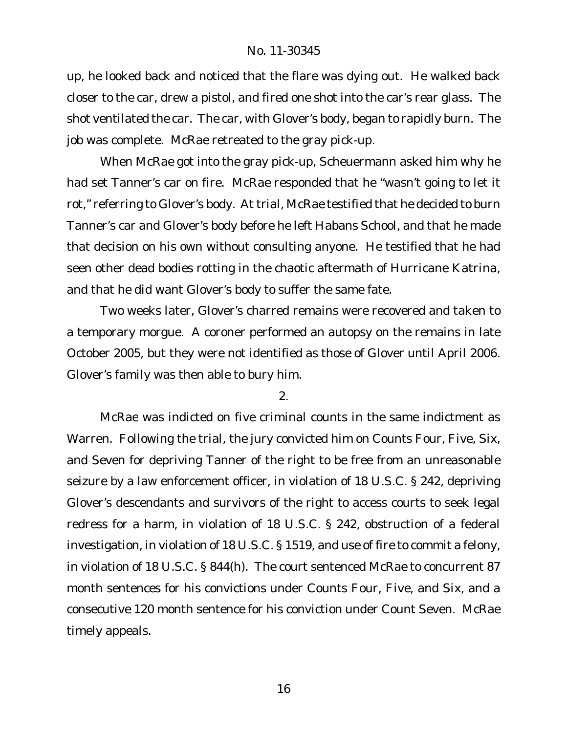up, he looked back and noticed that the flare was dying out. He walked back closer to the car, drew a pistol, and fired one shot into the car's rear glass. The shot ventilated the car. The car, with Glover's body, began to rapidly burn. The job was complete. McRae retreated to the gray pick-up.

When McRae got into the gray pick-up, Scheuermann asked him why he had set Tanner's car on fire. McRae responded that he "wasn't going to let it rot," referring to Glover's body. At trial, McRae testified that he decided to burn Tanner's car and Glover's body before he left Habans School, and that he made that decision on his own without consulting anyone. He testified that he had seen other dead bodies rotting in the chaotic aftermath of Hurricane Katrina, and that he did want Glover's body to suffer the same fate.

Two weeks later, Glover's charred remains were recovered and taken to a temporary morgue. A coroner performed an autopsy on the remains in late October 2005, but they were not identified as those of Glover until April 2006. Glover's family was then able to bury him.

2.

McRae was indicted on five criminal counts in the same indictment as Warren. Following the trial, the jury convicted him on Counts Four, Five, Six, and Seven for depriving Tanner of the right to be free from an unreasonable seizure by a law enforcement officer, in violation of 18 U.S.C. § 242, depriving Glover's descendants and survivors of the right to access courts to seek legal redress for a harm, in violation of 18 U.S.C. § 242, obstruction of a federal investigation, in violation of 18 U.S.C. § 1519, and use of fire to commit a felony, in violation of 18 U.S.C. § 844(h). The court sentenced McRae to concurrent 87 month sentences for his convictions under Counts Four, Five, and Six, and a consecutive 120 month sentence for his conviction under Count Seven. McRae timely appeals.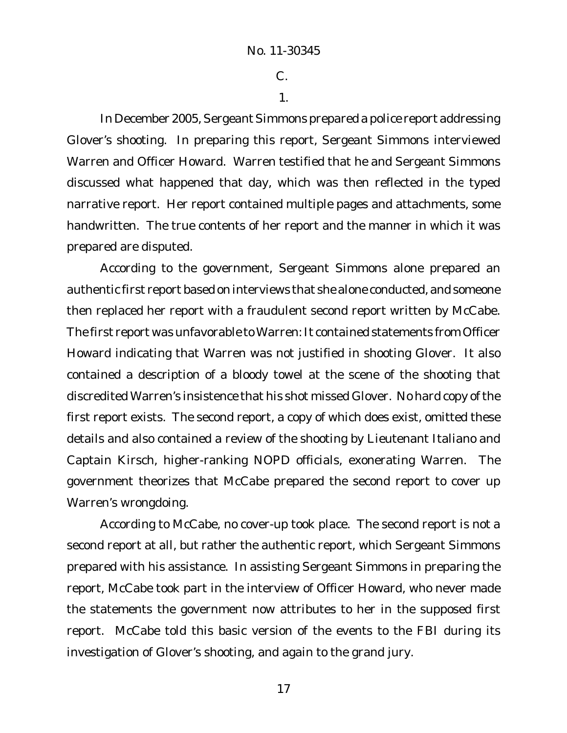C.

1.

In December 2005, Sergeant Simmons prepared a police report addressing Glover's shooting. In preparing this report, Sergeant Simmons interviewed Warren and Officer Howard. Warren testified that he and Sergeant Simmons discussed what happened that day, which was then reflected in the typed narrative report. Her report contained multiple pages and attachments, some handwritten. The true contents of her report and the manner in which it was prepared are disputed.

According to the government, Sergeant Simmons alone prepared an authentic first report based on interviews that she alone conducted, and someone then replaced her report with a fraudulent second report written by McCabe. The first report was unfavorable to Warren: It contained statements from Officer Howard indicating that Warren was not justified in shooting Glover. It also contained a description of a bloody towel at the scene of the shooting that discredited Warren's insistence that his shot missed Glover. No hard copy of the first report exists. The second report, a copy of which does exist, omitted these details and also contained a review of the shooting by Lieutenant Italiano and Captain Kirsch, higher-ranking NOPD officials, exonerating Warren. The government theorizes that McCabe prepared the second report to cover up Warren's wrongdoing.

According to McCabe, no cover-up took place. The second report is not a second report at all, but rather the authentic report, which Sergeant Simmons prepared with his assistance. In assisting Sergeant Simmons in preparing the report, McCabe took part in the interview of Officer Howard, who never made the statements the government now attributes to her in the supposed first report. McCabe told this basic version of the events to the FBI during its investigation of Glover's shooting, and again to the grand jury.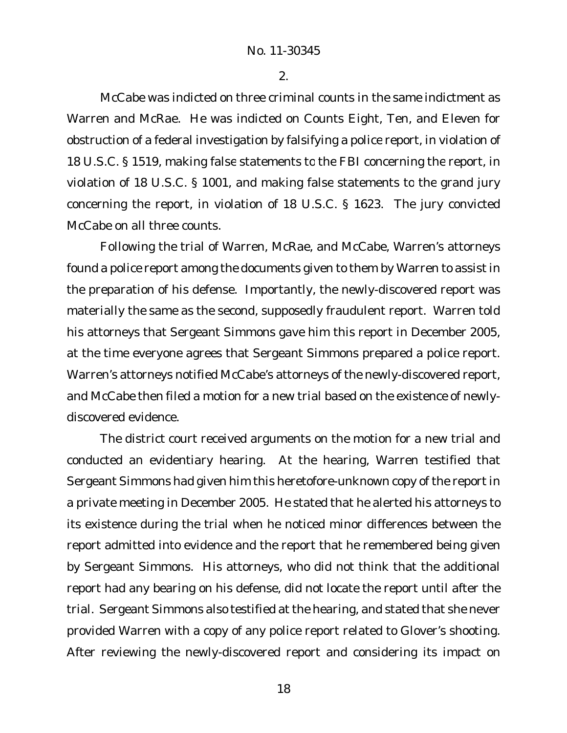2.

McCabe was indicted on three criminal counts in the same indictment as Warren and McRae. He was indicted on Counts Eight, Ten, and Eleven for obstruction of a federal investigation by falsifying a police report, in violation of 18 U.S.C. § 1519, making false statements to the FBI concerning the report, in violation of 18 U.S.C. § 1001, and making false statements to the grand jury concerning the report, in violation of 18 U.S.C. § 1623. The jury convicted McCabe on all three counts.

Following the trial of Warren, McRae, and McCabe, Warren's attorneys found a police report among the documents given to them by Warren to assist in the preparation of his defense. Importantly, the newly-discovered report was materially the same as the second, supposedly fraudulent report. Warren told his attorneys that Sergeant Simmons gave him this report in December 2005, at the time everyone agrees that Sergeant Simmons prepared a police report. Warren's attorneys notified McCabe's attorneys of the newly-discovered report, and McCabe then filed a motion for a new trial based on the existence of newlydiscovered evidence.

The district court received arguments on the motion for a new trial and conducted an evidentiary hearing. At the hearing, Warren testified that Sergeant Simmons had given him this heretofore-unknown copy of the report in a private meeting in December 2005. He stated that he alerted his attorneys to its existence during the trial when he noticed minor differences between the report admitted into evidence and the report that he remembered being given by Sergeant Simmons. His attorneys, who did not think that the additional report had any bearing on his defense, did not locate the report until after the trial. Sergeant Simmons also testified at the hearing, and stated that she never provided Warren with a copy of any police report related to Glover's shooting. After reviewing the newly-discovered report and considering its impact on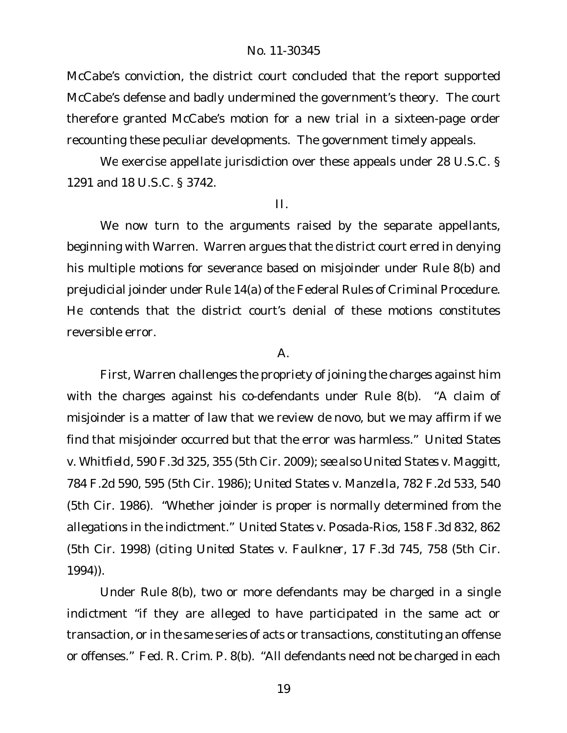McCabe's conviction, the district court concluded that the report supported McCabe's defense and badly undermined the government's theory. The court therefore granted McCabe's motion for a new trial in a sixteen-page order recounting these peculiar developments. The government timely appeals.

We exercise appellate jurisdiction over these appeals under 28 U.S.C. § 1291 and 18 U.S.C. § 3742.

#### II.

We now turn to the arguments raised by the separate appellants, beginning with Warren. Warren argues that the district court erred in denying his multiple motions for severance based on misjoinder under Rule 8(b) and prejudicial joinder under Rule 14(a) of the Federal Rules of Criminal Procedure. He contends that the district court's denial of these motions constitutes reversible error.

#### A.

First, Warren challenges the propriety of joining the charges against him with the charges against his co-defendants under Rule 8(b). "A claim of misjoinder is a matter of law that we review *de novo*, but we may affirm if we find that misjoinder occurred but that the error was harmless." *United States v. Whitfield*, 590 F.3d 325, 355 (5th Cir. 2009); *see also United States v. Maggitt*, 784 F.2d 590, 595 (5th Cir. 1986); *United States v. Manzella*, 782 F.2d 533, 540 (5th Cir. 1986). "Whether joinder is proper is normally determined from the allegations in the indictment." *United States v. Posada-Rios*, 158 F.3d 832, 862 (5th Cir. 1998) (citing *United States v. Faulkner*, 17 F.3d 745, 758 (5th Cir. 1994)).

Under Rule 8(b), two or more defendants may be charged in a single indictment "if they are alleged to have participated in the same act or transaction, or in the same series of acts or transactions, constituting an offense or offenses." Fed. R. Crim. P. 8(b). "All defendants need not be charged in each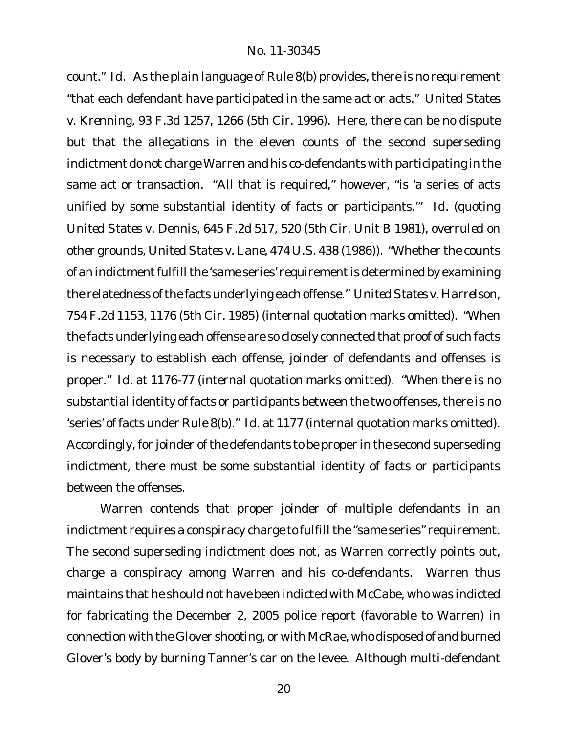count." *Id.* As the plain language of Rule 8(b) provides, there is no requirement "that each defendant have participated in the same act or acts." *United States v. Krenning*, 93 F.3d 1257, 1266 (5th Cir. 1996). Here, there can be no dispute but that the allegations in the eleven counts of the second superseding indictment do not charge Warren and his co-defendants with participating in the same act or transaction. "All that is required," however, "is 'a series of acts unified by some substantial identity of facts or participants.'" *Id.* (quoting *United States v. Dennis*, 645 F.2d 517, 520 (5th Cir. Unit B 1981), *overruled on other grounds*, *United States v. Lane*, 474 U.S. 438 (1986)). "Whether the counts of an indictment fulfill the 'same series' requirement is determined by examining the relatedness ofthe facts underlying each offense." *UnitedStates v. Harrelson*, 754 F.2d 1153, 1176 (5th Cir. 1985) (internal quotation marks omitted). "When the facts underlying each offense are so closely connected that proof of such facts is necessary to establish each offense, joinder of defendants and offenses is proper." *Id.* at 1176-77 (internal quotation marks omitted). "When there is no substantial identity of facts or participants between the two offenses, there is no 'series' of facts under Rule 8(b)." *Id.* at 1177 (internal quotation marks omitted). Accordingly, for joinder of the defendants to be proper in the second superseding indictment, there must be some substantial identity of facts or participants between the offenses.

Warren contends that proper joinder of multiple defendants in an indictment requires a conspiracy charge to fulfill the "same series" requirement. The second superseding indictment does not, as Warren correctly points out, charge a conspiracy among Warren and his co-defendants. Warren thus maintains that he should not have been indicted with McCabe, who was indicted for fabricating the December 2, 2005 police report (favorable to Warren) in connection with the Glover shooting, or with McRae, who disposed of and burned Glover's body by burning Tanner's car on the levee. Although multi-defendant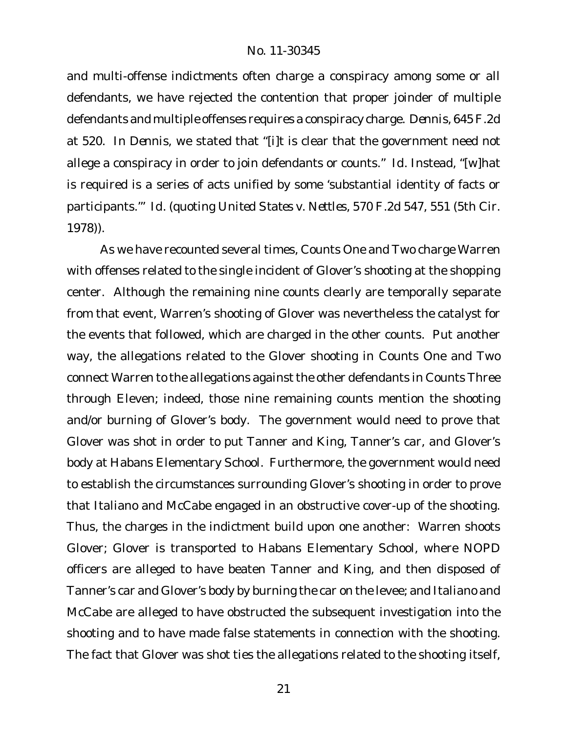and multi-offense indictments often charge a conspiracy among some or all defendants, we have rejected the contention that proper joinder of multiple defendants and multiple offenses requires a conspiracy charge. *Dennis*, 645F.2d at 520. In *Dennis*, we stated that "[i]t is clear that the government need not allege a conspiracy in order to join defendants or counts." *Id.* Instead, "[w]hat is required is a series of acts unified by some 'substantial identity of facts or participants.'" *Id.* (quoting *United States v. Nettles*, 570 F.2d 547, 551 (5th Cir. 1978)).

As we have recounted several times, Counts One and Two charge Warren with offenses related to the single incident of Glover's shooting at the shopping center. Although the remaining nine counts clearly are temporally separate from that event, Warren's shooting of Glover was nevertheless the catalyst for the events that followed, which are charged in the other counts. Put another way, the allegations related to the Glover shooting in Counts One and Two connect Warren to the allegations against the other defendants in Counts Three through Eleven; indeed, those nine remaining counts mention the shooting and/or burning of Glover's body. The government would need to prove that Glover was shot in order to put Tanner and King, Tanner's car, and Glover's body at Habans Elementary School. Furthermore, the government would need to establish the circumstances surrounding Glover's shooting in order to prove that Italiano and McCabe engaged in an obstructive cover-up of the shooting. Thus, the charges in the indictment build upon one another: Warren shoots Glover; Glover is transported to Habans Elementary School, where NOPD officers are alleged to have beaten Tanner and King, and then disposed of Tanner's car and Glover's body by burning the car on the levee; and Italiano and McCabe are alleged to have obstructed the subsequent investigation into the shooting and to have made false statements in connection with the shooting. The fact that Glover was shot ties the allegations related to the shooting itself,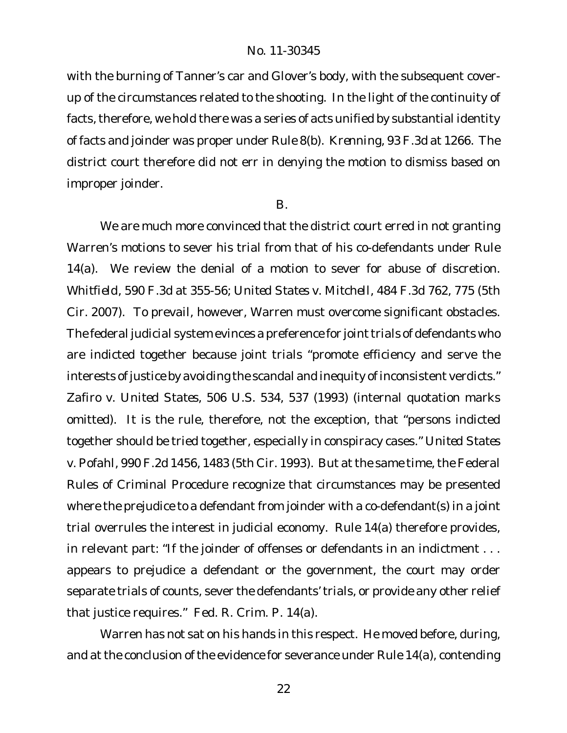with the burning of Tanner's car and Glover's body, with the subsequent coverup of the circumstances related to the shooting. In the light of the continuity of facts, therefore, we hold there was a series of acts unified by substantial identity of facts and joinder was proper under Rule 8(b). *Krenning*, 93 F.3d at 1266. The district court therefore did not err in denying the motion to dismiss based on improper joinder.

B.

We are much more convinced that the district court erred in not granting Warren's motions to sever his trial from that of his co-defendants under Rule 14(a). We review the denial of a motion to sever for abuse of discretion. *Whitfield*, 590 F.3d at 355-56; *United States v. Mitchell*, 484 F.3d 762, 775 (5th Cir. 2007). To prevail, however, Warren must overcome significant obstacles. The federal judicial system evinces a preference for joint trials of defendants who are indicted together because joint trials "promote efficiency and serve the interests of justice by avoiding the scandal and inequity of inconsistent verdicts." *Zafiro v. United States*, 506 U.S. 534, 537 (1993) (internal quotation marks omitted). It is the rule, therefore, not the exception, that "persons indicted together should be tried together, especially in conspiracy cases." *United States v. Pofahl*, 990 F.2d 1456, 1483 (5th Cir. 1993). But at the same time, the Federal Rules of Criminal Procedure recognize that circumstances may be presented where the prejudice to a defendant from joinder with a co-defendant(s) in a joint trial overrules the interest in judicial economy. Rule 14(a) therefore provides, in relevant part: "If the joinder of offenses or defendants in an indictment . . . appears to prejudice a defendant or the government, the court may order separate trials of counts, sever the defendants' trials, or provide any other relief that justice requires." Fed. R. Crim. P. 14(a).

Warren has not sat on his hands in this respect. He moved before, during, and at the conclusion of the evidence for severance under Rule 14(a), contending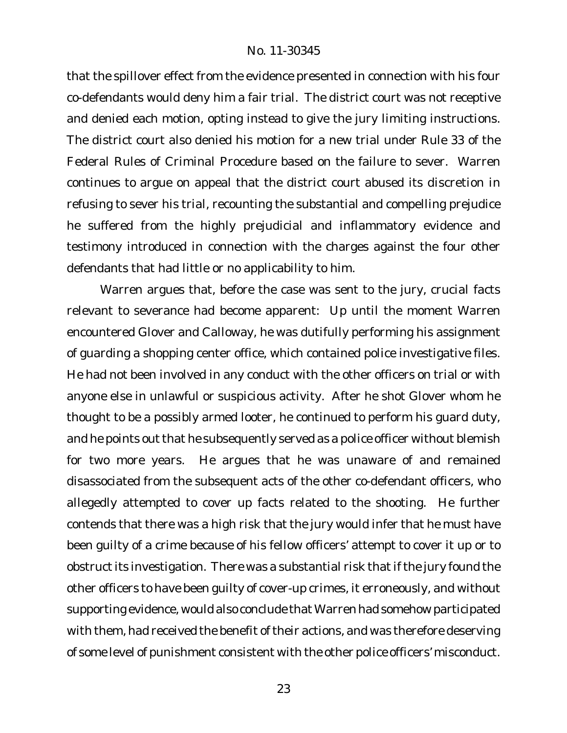that the spillover effect from the evidence presented in connection with his four co-defendants would deny him a fair trial. The district court was not receptive and denied each motion, opting instead to give the jury limiting instructions. The district court also denied his motion for a new trial under Rule 33 of the Federal Rules of Criminal Procedure based on the failure to sever. Warren continues to argue on appeal that the district court abused its discretion in refusing to sever his trial, recounting the substantial and compelling prejudice he suffered from the highly prejudicial and inflammatory evidence and testimony introduced in connection with the charges against the four other defendants that had little or no applicability to him.

Warren argues that, before the case was sent to the jury, crucial facts relevant to severance had become apparent: Up until the moment Warren encountered Glover and Calloway, he was dutifully performing his assignment of guarding a shopping center office, which contained police investigative files. He had not been involved in any conduct with the other officers on trial or with anyone else in unlawful or suspicious activity. After he shot Glover whom he thought to be a possibly armed looter, he continued to perform his guard duty, and he points out that he subsequently served as a police officer without blemish for two more years. He argues that he was unaware of and remained disassociated from the subsequent acts of the other co-defendant officers, who allegedly attempted to cover up facts related to the shooting. He further contends that there was a high risk that the jury would infer that he must have been guilty of a crime because of his fellow officers' attempt to cover it up or to obstruct its investigation. There was a substantial risk that if the jury found the other officers to have been guilty of cover-up crimes, it erroneously, and without supporting evidence, would also conclude that Warren had somehow participated with them, had received the benefit of their actions, and was therefore deserving of some level of punishment consistent with the other police officers' misconduct.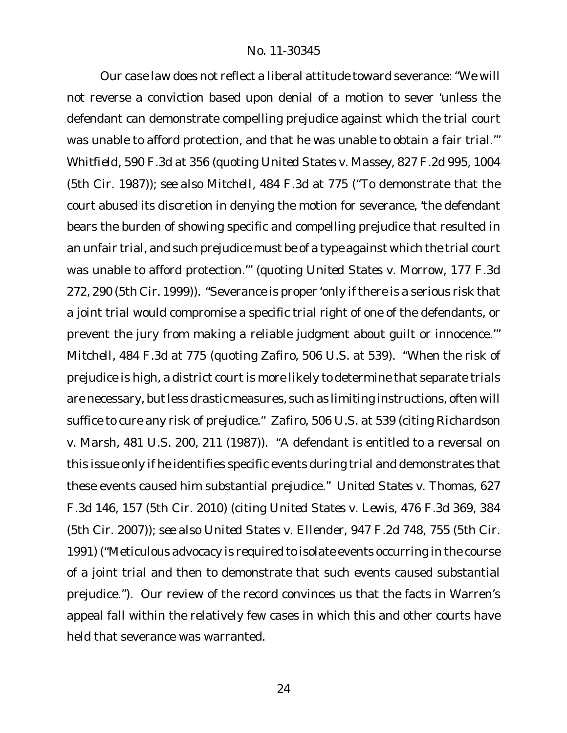Our case law does not reflect a liberal attitude toward severance: "We will not reverse a conviction based upon denial of a motion to sever 'unless the defendant can demonstrate compelling prejudice against which the trial court was unable to afford protection, and that he was unable to obtain a fair trial.'" *Whitfield*, 590 F.3d at 356 (quoting *United States v. Massey*, 827 F.2d 995, 1004 (5th Cir. 1987)); *see also Mitchell*, 484 F.3d at 775 ("To demonstrate that the court abused its discretion in denying the motion for severance, 'the defendant bears the burden of showing specific and compelling prejudice that resulted in an unfair trial, and such prejudice must be of a type against which the trial court was unable to afford protection.'" (quoting *United States v. Morrow*, 177 F.3d 272, 290 (5th Cir. 1999)). "Severance is proper 'only if there is a serious risk that a joint trial would compromise a specific trial right of one of the defendants, or prevent the jury from making a reliable judgment about guilt or innocence.'" *Mitchell*, 484 F.3d at 775 (quoting *Zafiro,* 506 U.S. at 539). "When the risk of prejudice is high, a district court is more likely to determine that separate trials are necessary, but less drastic measures, such as limiting instructions, often will suffice to cure any risk of prejudice." *Zafiro*, 506 U.S. at 539 (citing *Richardson v. Marsh*, 481 U.S. 200, 211 (1987)). "A defendant is entitled to a reversal on this issue only if he identifies specific events during trial and demonstrates that these events caused him substantial prejudice." *United States v. Thomas*, 627 F.3d 146, 157 (5th Cir. 2010) (citing *United States v. Lewis*, 476 F.3d 369, 384 (5th Cir. 2007)); *see also United States v. Ellender*, 947 F.2d 748, 755 (5th Cir. 1991) ("Meticulous advocacy is required to isolate events occurring in the course of a joint trial and then to demonstrate that such events caused substantial prejudice."). Our review of the record convinces us that the facts in Warren's appeal fall within the relatively few cases in which this and other courts have held that severance was warranted.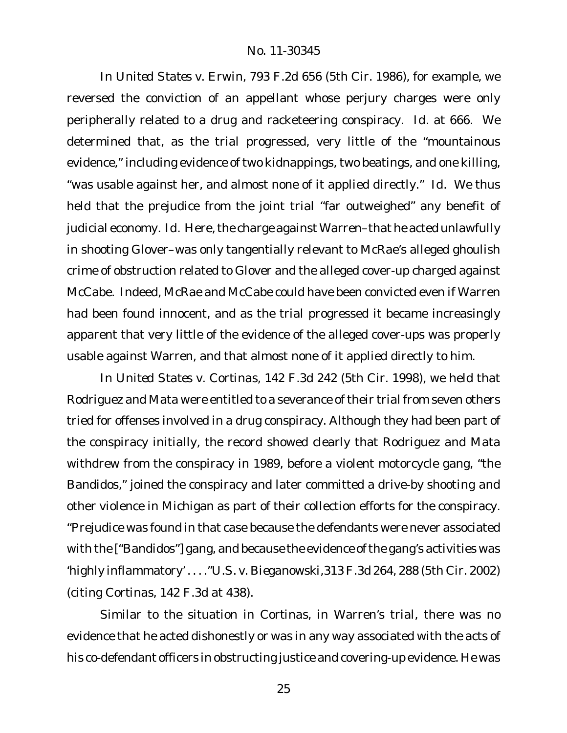In *United States v. Erwin*, 793 F.2d 656 (5th Cir. 1986), for example, we reversed the conviction of an appellant whose perjury charges were only peripherally related to a drug and racketeering conspiracy. *Id.* at 666. We determined that, as the trial progressed, very little of the "mountainous evidence," including evidence of two kidnappings, two beatings, and one killing, "was usable against her, and almost none of it applied directly." *Id.* We thus held that the prejudice from the joint trial "far outweighed" any benefit of judicial economy. *Id.* Here, the charge against Warren–that he acted unlawfully in shooting Glover–was only tangentially relevant to McRae's alleged ghoulish crime of obstruction related to Glover and the alleged cover-up charged against McCabe. Indeed, McRae and McCabe could have been convicted even if Warren had been found innocent, and as the trial progressed it became increasingly apparent that very little of the evidence of the alleged cover-ups was properly usable against Warren, and that almost none of it applied directly to him.

In *United States v. Cortinas*, 142 F.3d 242 (5th Cir. 1998), we held that Rodriguez and Mata were entitled to a severance of their trial from seven others tried for offenses involved in a drug conspiracy. Although they had been part of the conspiracy initially, the record showed clearly that Rodriguez and Mata withdrew from the conspiracy in 1989, before a violent motorcycle gang, "the Bandidos," joined the conspiracy and later committed a drive-by shooting and other violence in Michigan as part of their collection efforts for the conspiracy. "Prejudice was found in that case because the defendants were never associated with the ["Bandidos"] gang, and because the evidence of the gang's activities was 'highly inflammatory' . . . ."*U.S. v. Bieganowski*,313 F.3d 264, 288 (5th Cir. 2002) (citing *Cortinas*, 142 F.3d at 438).

Similar to the situation in *Cortinas,* in Warren's trial, there was no evidence that he acted dishonestly or was in any way associated with the acts of his co-defendant officers in obstructing justice and covering-up evidence. He was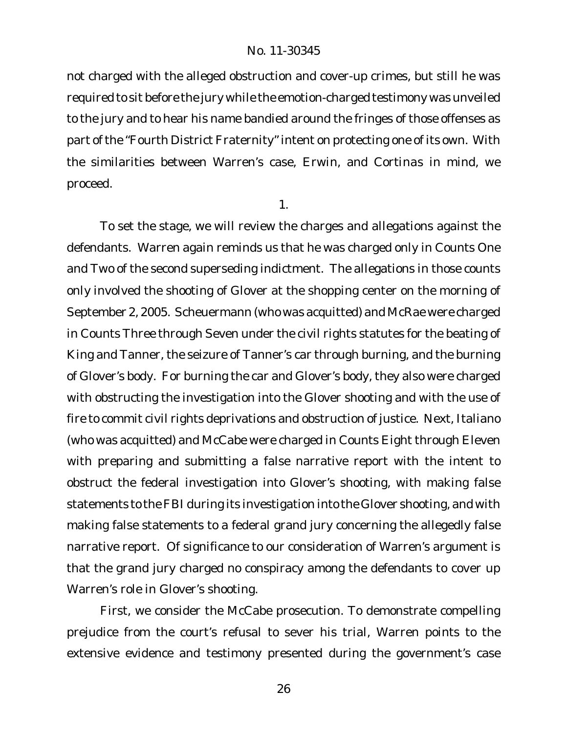not charged with the alleged obstruction and cover-up crimes, but still he was required to sit before the jury while the emotion-charged testimony was unveiled to the jury and to hear his name bandied around the fringes of those offenses as part of the "Fourth District Fraternity" intent on protecting one of its own. With the similarities between Warren's case, *Erwin,* and *Cortinas* in mind, we proceed.

1.

To set the stage, we will review the charges and allegations against the defendants. Warren again reminds us that he was charged only in Counts One and Two of the second superseding indictment. The allegations in those counts *only* involved the shooting of Glover at the shopping center on the morning of September 2, 2005. Scheuermann (who was acquitted) and McRae were charged in Counts Three through Seven under the civil rights statutes for the beating of King and Tanner, the seizure of Tanner's car through burning, and the burning of Glover's body. For burning the car and Glover's body, they also were charged with obstructing the investigation into the Glover shooting and with the use of fire to commit civil rights deprivations and obstruction of justice. Next, Italiano (who was acquitted) and McCabe were charged in Counts Eight through Eleven with preparing and submitting a false narrative report with the intent to obstruct the federal investigation into Glover's shooting, with making false statements to theFBI during its investigation into the Glover shooting, and with making false statements to a federal grand jury concerning the allegedly false narrative report. Of significance to our consideration of Warren's argument is that the grand jury charged no conspiracy among the defendants to cover up Warren's role in Glover's shooting.

First, we consider the McCabe prosecution. To demonstrate compelling prejudice from the court's refusal to sever his trial, Warren points to the extensive evidence and testimony presented during the government's case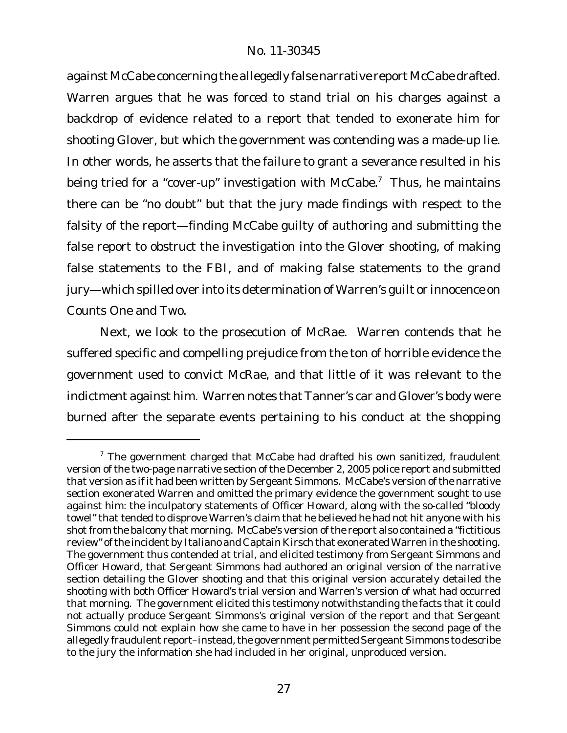against McCabe concerning the allegedly false narrative report McCabe drafted. Warren argues that he was forced to stand trial on his charges against a backdrop of evidence related to a report that tended to exonerate him for shooting Glover, but which the government was contending was a made-up lie. In other words, he asserts that the failure to grant a severance resulted in his being tried for a "cover-up" investigation with  $McCabe.<sup>7</sup>$  Thus, he maintains there can be "no doubt" but that the jury made findings with respect to the falsity of the report—finding McCabe guilty of authoring and submitting the false report to obstruct the investigation into the Glover shooting, of making false statements to the FBI, and of making false statements to the grand jury—which spilled over into its determination of Warren's guilt or innocence on Counts One and Two.

Next, we look to the prosecution of McRae. Warren contends that he suffered specific and compelling prejudice from the ton of horrible evidence the government used to convict McRae, and that little of it was relevant to the indictment against him. Warren notes that Tanner's car and Glover's body were burned after the separate events pertaining to his conduct at the shopping

 $7$  The government charged that McCabe had drafted his own sanitized, fraudulent version of the two-page narrative section of the December 2, 2005 police report and submitted that version as if it had been written by Sergeant Simmons. McCabe's version of the narrative section exonerated Warren and omitted the primary evidence the government sought to use against him: the inculpatory statements of Officer Howard, along with the so-called "bloody towel" that tended to disprove Warren's claim that he believed he had not hit anyone with his shot from the balcony that morning. McCabe's version of the report also contained a "fictitious review" of the incident by Italiano and Captain Kirsch that exonerated Warren in the shooting. The government thus contended at trial, and elicited testimony from Sergeant Simmons and Officer Howard, that Sergeant Simmons had authored an original version of the narrative section detailing the Glover shooting and that this original version accurately detailed the shooting with both Officer Howard's trial version and Warren's version of what had occurred that morning. The government elicited this testimony notwithstanding the facts that it could not actually produce Sergeant Simmons's original version of the report and that Sergeant Simmons could not explain how she came to have in her possession the second page of the allegedly fraudulent report–instead, the government permitted Sergeant Simmons to describe to the jury the information she had included in her original, unproduced version.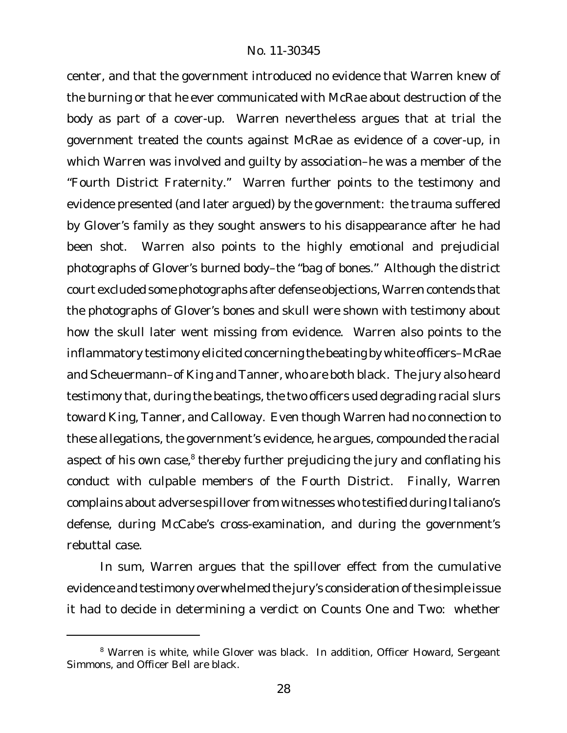center, and that the government introduced no evidence that Warren knew of the burning or that he ever communicated with McRae about destruction of the body as part of a cover-up. Warren nevertheless argues that at trial the government treated the counts against McRae as evidence of a cover-up, in which Warren was involved and guilty by association–he was a member of the "Fourth District Fraternity." Warren further points to the testimony and evidence presented (and later argued) by the government: the trauma suffered by Glover's family as they sought answers to his disappearance after he had been shot. Warren also points to the highly emotional and prejudicial photographs of Glover's burned body–the "bag of bones." Although the district court excluded some photographs after defense objections, Warren contends that the photographs of Glover's bones and skull were shown with testimony about how the skull later went missing from evidence. Warren also points to the inflammatory testimony elicited concerning the beating by white officers–McRae and Scheuermann–of King and Tanner, who are both black. The jury also heard testimony that, during the beatings, the two officers used degrading racial slurs toward King, Tanner, and Calloway. Even though Warren had no connection to these allegations, the government's evidence, he argues, compounded the racial aspect of his own case, $^8$  thereby further prejudicing the jury and conflating his conduct with culpable members of the Fourth District. Finally, Warren complains about adverse spillover from witnesses who testified during Italiano's defense, during McCabe's cross-examination, and during the government's rebuttal case.

In sum, Warren argues that the spillover effect from the cumulative evidence and testimony overwhelmed the jury's consideration of the simple issue it had to decide in determining a verdict on Counts One and Two: whether

<sup>&</sup>lt;sup>8</sup> Warren is white, while Glover was black. In addition, Officer Howard, Sergeant Simmons, and Officer Bell are black.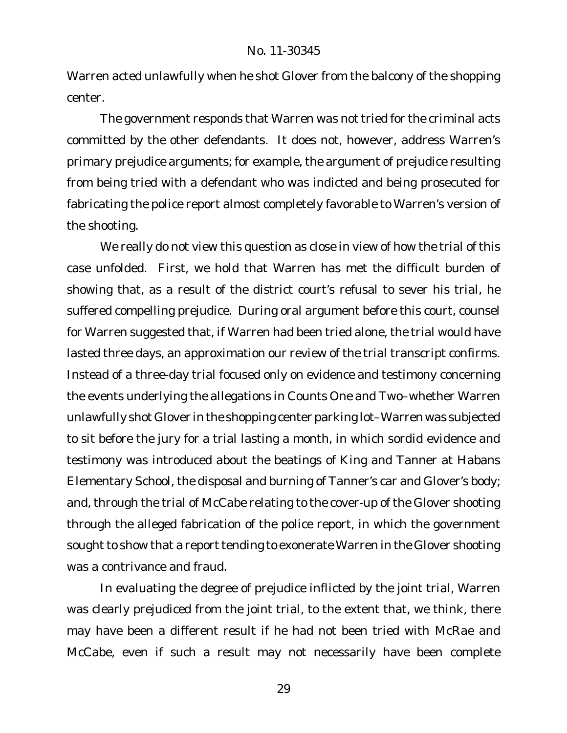Warren acted unlawfully when he shot Glover from the balcony of the shopping center.

The government responds that Warren was not tried for the criminal acts committed by the other defendants. It does not, however, address Warren's primary prejudice arguments; for example, the argument of prejudice resulting from being tried with a defendant who was indicted and being prosecuted for fabricating the police report almost completely favorable to Warren's version of the shooting.

We really do not view this question as close in view of how the trial of this case unfolded. First, we hold that Warren has met the difficult burden of showing that, as a result of the district court's refusal to sever his trial, he suffered compelling prejudice. During oral argument before this court, counsel for Warren suggested that, if Warren had been tried alone, the trial would have lasted three days, an approximation our review of the trial transcript confirms. Instead of a three-day trial focused only on evidence and testimony concerning the events underlying the allegations in Counts One and Two–whether Warren unlawfully shot Glover in the shopping center parking lot–Warren was subjected to sit before the jury for a trial lasting a month, in which sordid evidence and testimony was introduced about the beatings of King and Tanner at Habans Elementary School, the disposal and burning of Tanner's car and Glover's body; and, through the trial of McCabe relating to the cover-up of the Glover shooting through the alleged fabrication of the police report, in which the government sought to show that a report tending to exonerate Warren in the Glover shooting was a contrivance and fraud.

In evaluating the degree of prejudice inflicted by the joint trial, Warren was clearly prejudiced from the joint trial, to the extent that, we think, there may have been a different result if he had not been tried with McRae and McCabe, even if such a result may not necessarily have been complete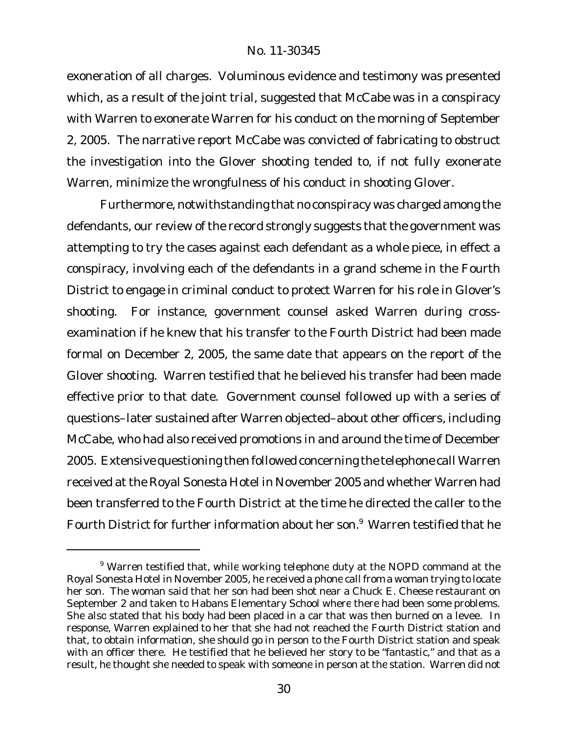exoneration of all charges. Voluminous evidence and testimony was presented which, as a result of the joint trial, suggested that McCabe was in a conspiracy with Warren to exonerate Warren for his conduct on the morning of September 2, 2005. The narrative report McCabe was convicted of fabricating to obstruct the investigation into the Glover shooting tended to, if not fully exonerate Warren, minimize the wrongfulness of his conduct in shooting Glover.

Furthermore, notwithstanding that *no* conspiracy was charged among the defendants, our review of the record strongly suggests that the government was attempting to try the cases against each defendant as a whole piece, in effect a conspiracy, involving each of the defendants in a grand scheme in the Fourth District to engage in criminal conduct to protect Warren for his role in Glover's shooting. For instance, government counsel asked Warren during crossexamination if he knew that his transfer to the Fourth District had been made formal on December 2, 2005, the same date that appears on the report of the Glover shooting. Warren testified that he believed his transfer had been made effective prior to that date. Government counsel followed up with a series of questions–later sustained after Warren objected–about other officers, including McCabe, who had also received promotions in and around the time of December 2005. Extensive questioning then followed concerning the telephone call Warren received at the Royal Sonesta Hotel in November 2005 and whether Warren had been transferred to the Fourth District at the time he directed the caller to the Fourth District for further information about her son.<sup>9</sup> Warren testified that he

<sup>&</sup>lt;sup>9</sup> Warren testified that, while working telephone duty at the NOPD command at the Royal Sonesta Hotel in November 2005, he received a phone callfrom a woman trying to locate her son. The woman said that her son had been shot near a Chuck E. Cheese restaurant on September 2 and taken to Habans Elementary School where there had been some problems. She also stated that his body had been placed in a car that was then burned on a levee. In response, Warren explained to her that she had not reached the Fourth District station and that, to obtain information, she should go in person to the Fourth District station and speak with an officer there. He testified that he believed her story to be "fantastic," and that as a result, he thought she needed to speak with someone in person at the station. Warren did not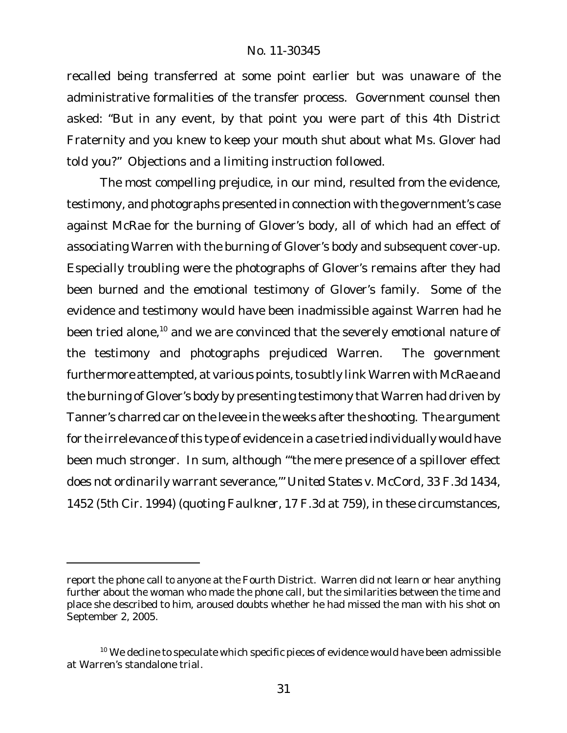recalled being transferred at some point earlier but was unaware of the administrative formalities of the transfer process. Government counsel then asked: "But in any event, by that point you were part of this 4th District Fraternity and you knew to keep your mouth shut about what Ms. Glover had told you?" Objections and a limiting instruction followed.

The most compelling prejudice, in our mind, resulted from the evidence, testimony, and photographs presented in connection with the government's case against McRae for the burning of Glover's body, all of which had an effect of associating Warren with the burning of Glover's body and subsequent cover-up. Especially troubling were the photographs of Glover's remains after they had been burned and the emotional testimony of Glover's family. Some of the evidence and testimony would have been inadmissible against Warren had he been tried alone,<sup>10</sup> and we are convinced that the severely emotional nature of the testimony and photographs prejudiced Warren. The government furthermore attempted, at various points, to subtly link Warren with McRae and the burning of Glover's body by presenting testimony that Warren had driven by Tanner's charred car on the levee in the weeks after the shooting. The argument for the irrelevance of this type of evidence in a case tried individually would have been much stronger. In sum, although "'the mere presence of a spillover effect does not ordinarily warrant severance,'" *United States v. McCord*, 33 F.3d 1434, 1452 (5th Cir. 1994) (quoting *Faulkner*, 17 F.3d at 759), in these circumstances,

report the phone call to anyone at the Fourth District. Warren did not learn or hear anything further about the woman who made the phone call, but the similarities between the time and place she described to him, aroused doubts whether he had missed the man with his shot on September 2, 2005.

 $10$  We decline to speculate which specific pieces of evidence would have been admissible at Warren's standalone trial.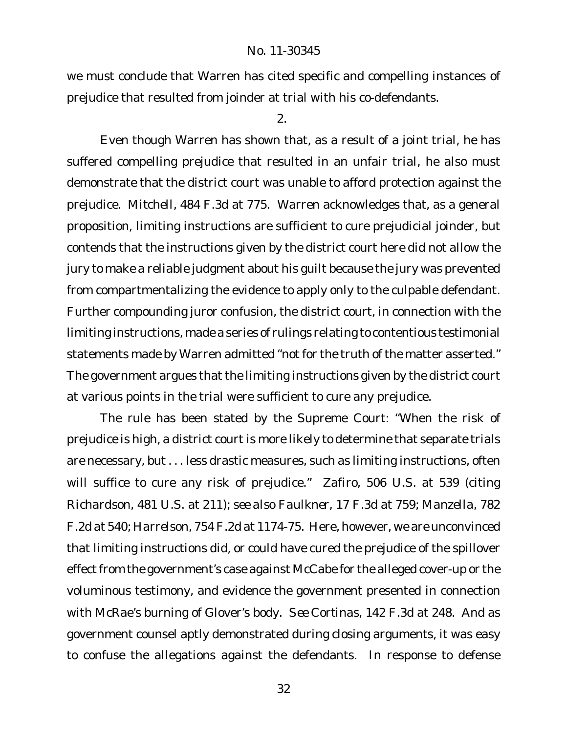we must conclude that Warren has cited specific and compelling instances of prejudice that resulted from joinder at trial with his co-defendants.

#### 2.

Even though Warren has shown that, as a result of a joint trial, he has suffered compelling prejudice that resulted in an unfair trial, he also must demonstrate that the district court was unable to afford protection against the prejudice. *Mitchell*, 484 F.3d at 775. Warren acknowledges that, as a general proposition, limiting instructions are sufficient to cure prejudicial joinder, but contends that the instructions given by the district court here did not allow the jury to make a reliable judgment about his guilt because the jury was prevented from compartmentalizing the evidence to apply only to the culpable defendant. Further compounding juror confusion, the district court, in connection with the limiting instructions, made a series of rulings relating to contentious testimonial statements made by Warren admitted "not for the truth of the matter asserted." The government argues that the limiting instructions given by the district court at various points in the trial were sufficient to cure any prejudice.

The rule has been stated by the Supreme Court: "When the risk of prejudice is high, a district court is more likely to determine that separate trials are necessary, but . . . less drastic measures, such as limiting instructions, often will suffice to cure any risk of prejudice." *Zafiro*, 506 U.S. at 539 (citing *Richardson*, 481 U.S. at 211); *see also Faulkner*, 17 F.3d at 759; *Manzella*, 782 F.2d at 540; *Harrelson*, 754 F.2d at 1174-75. Here, however, we are unconvinced that limiting instructions did, or could have cured the prejudice of the spillover effect from the government's case against McCabe for the alleged cover-up or the voluminous testimony, and evidence the government presented in connection with McRae's burning of Glover's body. *See Cortinas*, 142 F.3d at 248. And as government counsel aptly demonstrated during closing arguments, it was easy to confuse the allegations against the defendants. In response to defense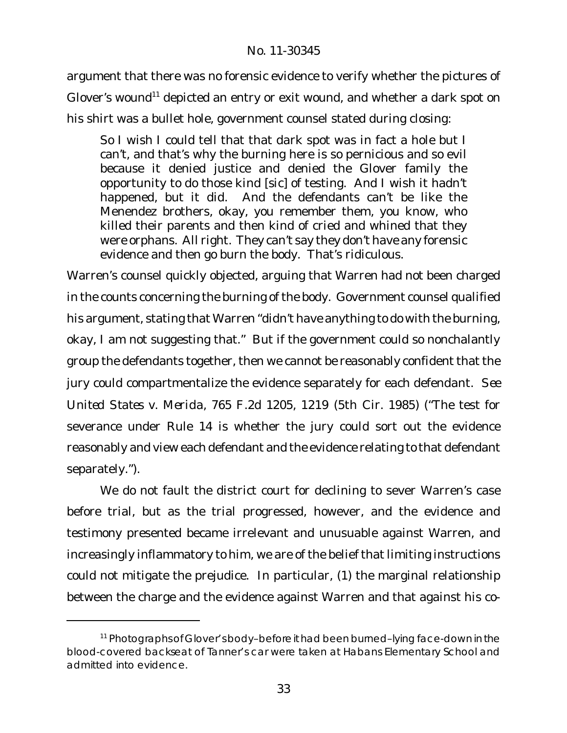argument that there was no forensic evidence to verify whether the pictures of Glover's wound<sup>11</sup> depicted an entry or exit wound, and whether a dark spot on his shirt was a bullet hole, government counsel stated during closing:

So I wish I could tell that that dark spot was in fact a hole but I can't, and that's why the burning here is so pernicious and so evil because it denied justice and denied the Glover family the opportunity to do those kind [*sic*] of testing. And I wish it hadn't happened, but it did. And the defendants can't be like the Menendez brothers, okay, you remember them, you know, who killed their parents and then kind of cried and whined that they were orphans. All right. They can't say they don't have any forensic evidence and then go burn the body. That's ridiculous.

Warren's counsel quickly objected, arguing that Warren had not been charged in the counts concerning the burning of the body. Government counsel qualified his argument, stating that Warren "didn't have anything to do with the burning, okay, I am not suggesting that." But if the government could so nonchalantly group the defendants together, then we cannot be reasonably confident that the jury could compartmentalize the evidence separately for each defendant. *See United States v. Merida*, 765 F.2d 1205, 1219 (5th Cir. 1985) ("The test for severance under Rule 14 is whether the jury could sort out the evidence reasonably and view each defendant and the evidence relating to that defendant separately.").

We do not fault the district court for declining to sever Warren's case before trial, but as the trial progressed, however, and the evidence and testimony presented became irrelevant and unusuable against Warren, and increasingly inflammatory to him, we are of the belief that limiting instructions could not mitigate the prejudice. In particular, (1) the marginal relationship between the charge and the evidence against Warren and that against his co-

<sup>&</sup>lt;sup>11</sup> Photographs of Glover's body-before it had been burned-lying face-down in the blood-covered backseat of Tanner's car were taken at Habans Elementary School and admitted into evidence.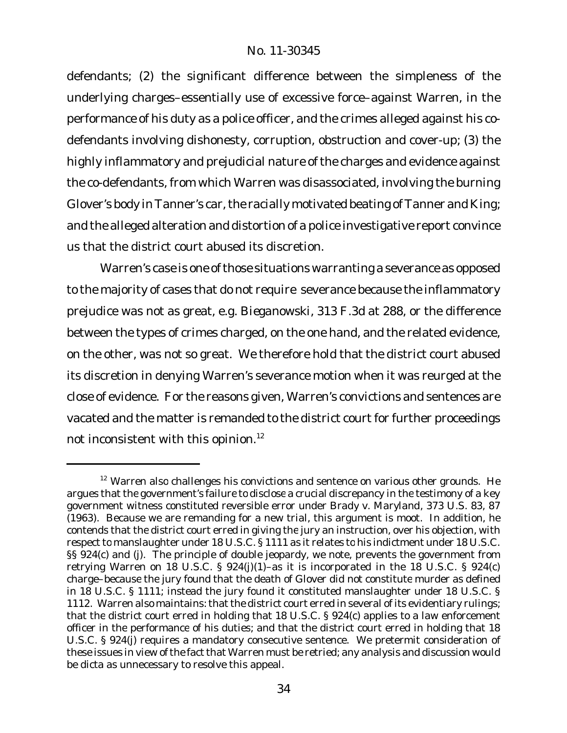defendants; (2) the significant difference between the simpleness of the underlying charges–essentially use of excessive force–against Warren, in the performance of his duty as a police officer, and the crimes alleged against his codefendants involving dishonesty, corruption, obstruction and cover-up; (3) the highly inflammatory and prejudicial nature of the charges and evidence against the co-defendants, from which Warren was disassociated, involving the burning Glover's body inTanner's car, the racially motivated beating of Tanner and King; and the alleged alteration and distortion of a police investigative report convince us that the district court abused its discretion.

Warren's case is one of those situations warranting a severance as opposed to the majority of cases that do not require severance because the inflammatory prejudice was not as great, e.g. *Bieganowski*, 313 F.3d at 288, or the difference between the types of crimes charged, on the one hand, and the related evidence, on the other, was not so great. We therefore hold that the district court abused its discretion in denying Warren's severance motion when it was reurged at the close of evidence. For the reasons given, Warren's convictions and sentences are vacated and the matter is remanded to the district court for further proceedings not inconsistent with this opinion.<sup>12</sup>

 $12$  Warren also challenges his convictions and sentence on various other grounds. He argues that the government's failure to disclose a crucial discrepancy in the testimony of a key government witness constituted reversible error under *Brady v. Maryland*, 373 U.S. 83, 87 (1963). Because we are remanding for a new trial, this argument is moot. In addition, he contends that the district court erred in giving the jury an instruction, over his objection, with respect to manslaughter under 18 U.S.C. § 1111 as it relates to his indictment under 18 U.S.C. §§ 924(c) and (j). The principle of double jeopardy, we note, prevents the government from retrying Warren on 18 U.S.C. § 924(j)(1)–as it is incorporated in the 18 U.S.C. § 924(c) charge–because the jury found that the death of Glover did not constitute murder as defined in 18 U.S.C. § 1111; instead the jury found it constituted manslaughter under 18 U.S.C. § 1112. Warren also maintains: that the district court erred in several of its evidentiary rulings; that the district court erred in holding that 18 U.S.C. § 924(c) applies to a law enforcement officer in the performance of his duties; and that the district court erred in holding that 18 U.S.C. § 924(j) requires a mandatory consecutive sentence. We pretermit consideration of these issues in view of the fact that Warren must be retried; any analysis and discussion would be dicta as unnecessary to resolve this appeal.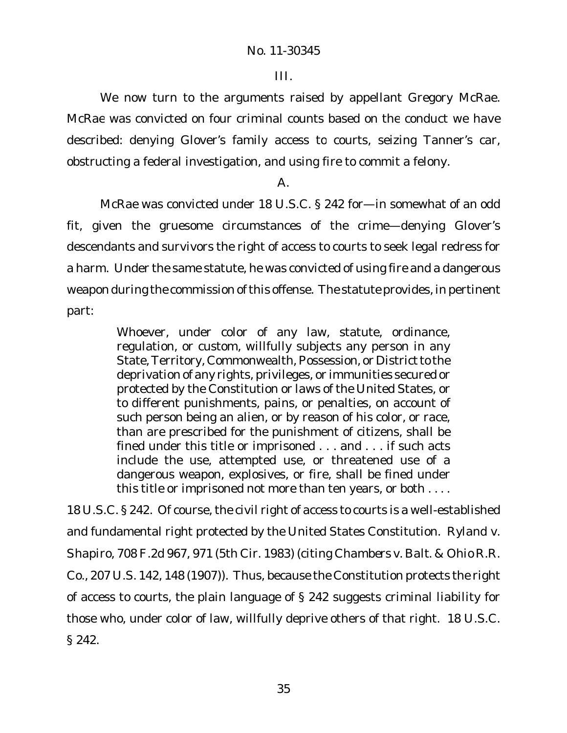III.

We now turn to the arguments raised by appellant Gregory McRae. McRae was convicted on four criminal counts based on the conduct we have described: denying Glover's family access to courts, seizing Tanner's car, obstructing a federal investigation, and using fire to commit a felony.

# A.

McRae was convicted under 18 U.S.C. § 242 for—in somewhat of an odd fit, given the gruesome circumstances of the crime—denying Glover's descendants and survivors the right of access to courts to seek legal redress for a harm. Under the same statute, he was convicted of using fire and a dangerous weapon during the commission of this offense. The statute provides, in pertinent part:

> Whoever, under color of any law, statute, ordinance, regulation, or custom, willfully subjects any person in any State, Territory, Commonwealth, Possession, or District to the deprivation of any rights, privileges, or immunities secured or protected by the Constitution or laws of the United States, or to different punishments, pains, or penalties, on account of such person being an alien, or by reason of his color, or race, than are prescribed for the punishment of citizens, shall be fined under this title or imprisoned . . . and . . . if such acts include the use, attempted use, or threatened use of a dangerous weapon, explosives, or fire, shall be fined under this title or imprisoned not more than ten years, or both . . . .

18 U.S.C. § 242. Of course, the civil right of access to courts is a well-established and fundamental right protected by the United States Constitution. *Ryland v. Shapiro*, 708 F.2d 967, 971 (5th Cir. 1983) (citing *Chambers v. Balt. & Ohio R.R. Co.*, 207 U.S. 142, 148 (1907)). Thus, because the Constitution protects the right of access to courts, the plain language of § 242 suggests criminal liability for those who, under color of law, willfully deprive others of that right. 18 U.S.C. § 242.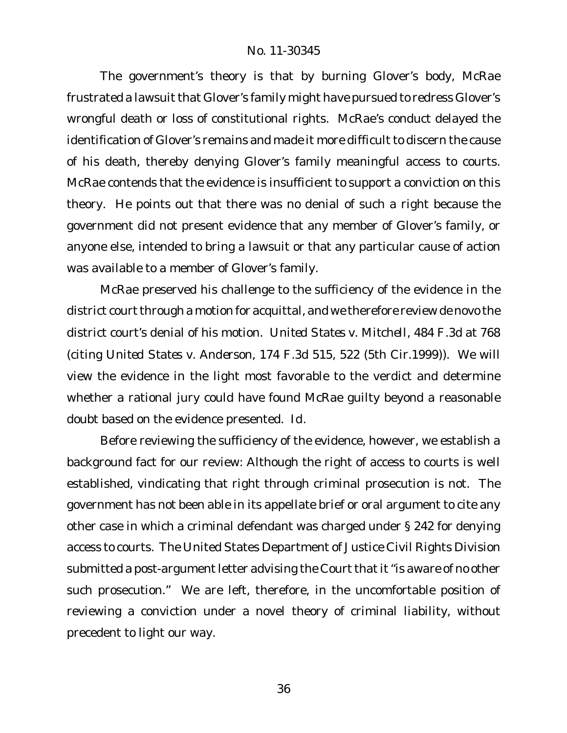The government's theory is that by burning Glover's body, McRae frustrated a lawsuit that Glover's family might have pursued to redress Glover's wrongful death or loss of constitutional rights. McRae's conduct delayed the identification of Glover's remains and made it more difficult to discern the cause of his death, thereby denying Glover's family meaningful access to courts. McRae contends that the evidence is insufficient to support a conviction on this theory. He points out that there was no denial of such a right because the government did not present evidence that any member of Glover's family, or anyone else, intended to bring a lawsuit or that any particular cause of action was available to a member of Glover's family.

McRae preserved his challenge to the sufficiency of the evidence in the district court through a motion for acquittal, and we therefore review de novo the district court's denial of his motion. *United States v. Mitchell*, 484 F.3d at 768 (citing *United States v. Anderson*, 174 F.3d 515, 522 (5th Cir.1999)). We will view the evidence in the light most favorable to the verdict and determine whether a rational jury could have found McRae guilty beyond a reasonable doubt based on the evidence presented. *Id.*

Before reviewing the sufficiency of the evidence, however, we establish a background fact for our review: Although the right of access to courts is well established, vindicating that right through criminal prosecution is not. The government has not been able in its appellate brief or oral argument to cite any other case in which a criminal defendant was charged under § 242 for denying access to courts. The United States Department of Justice Civil Rights Division submitted a post-argument letter advising the Court that it "is aware of no other such prosecution." We are left, therefore, in the uncomfortable position of reviewing a conviction under a novel theory of criminal liability, without precedent to light our way.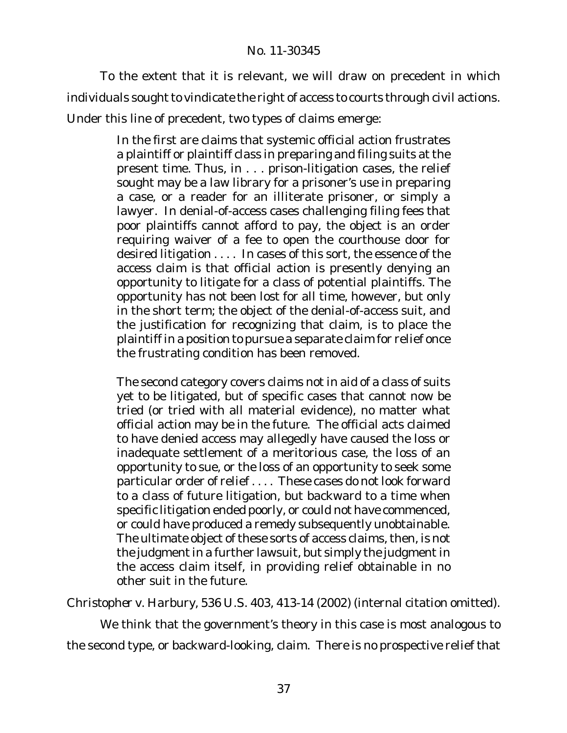To the extent that it is relevant, we will draw on precedent in which individuals sought to vindicate the right of access to courts through civil actions. Under this line of precedent, two types of claims emerge:

> In the first are claims that systemic official action frustrates a plaintiff or plaintiff class in preparing and filing suits at the present time. Thus, in . . . prison-litigation cases, the relief sought may be a law library for a prisoner's use in preparing a case, or a reader for an illiterate prisoner, or simply a lawyer. In denial-of-access cases challenging filing fees that poor plaintiffs cannot afford to pay, the object is an order requiring waiver of a fee to open the courthouse door for desired litigation . . . . In cases of this sort, the essence of the access claim is that official action is presently denying an opportunity to litigate for a class of potential plaintiffs. The opportunity has not been lost for all time, however, but only in the short term; the object of the denial-of-access suit, and the justification for recognizing that claim, is to place the plaintiff in a position to pursue a separate claim for relief once the frustrating condition has been removed.

> The second category covers claims not in aid of a class of suits yet to be litigated, but of specific cases that cannot now be tried (or tried with all material evidence), no matter what official action may be in the future. The official acts claimed to have denied access may allegedly have caused the loss or inadequate settlement of a meritorious case, the loss of an opportunity to sue, or the loss of an opportunity to seek some particular order of relief . . . . These cases do not look forward to a class of future litigation, but backward to a time when specific litigation ended poorly, or could not have commenced, or could have produced a remedy subsequently unobtainable. The ultimate object of these sorts of access claims, then, is not the judgment in a further lawsuit, but simply the judgment in the access claim itself, in providing relief obtainable in no other suit in the future.

*Christopher v. Harbury*, 536 U.S. 403, 413-14 (2002) (internal citation omitted).

We think that the government's theory in this case is most analogous to the second type, or backward-looking, claim. There is no prospective relief that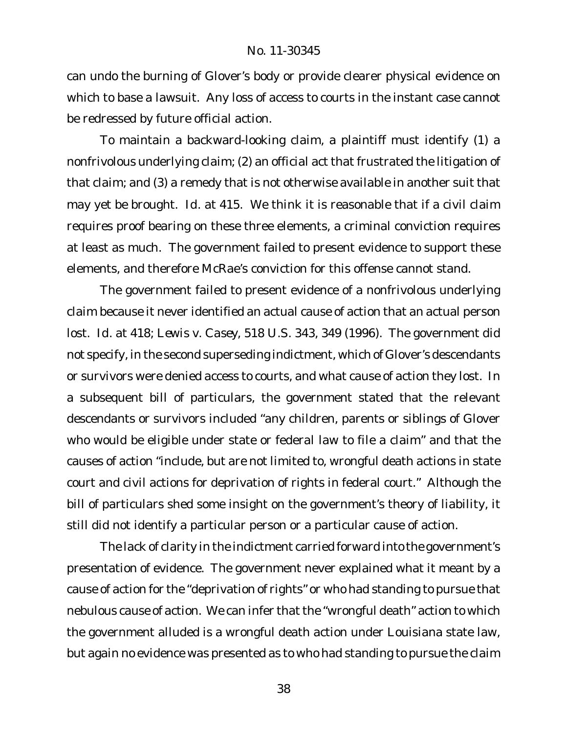can undo the burning of Glover's body or provide clearer physical evidence on which to base a lawsuit. Any loss of access to courts in the instant case cannot be redressed by future official action.

To maintain a backward-looking claim, a plaintiff must identify (1) a nonfrivolous underlying claim; (2) an official act that frustrated the litigation of that claim; and (3) a remedy that is not otherwise available in another suit that may yet be brought. *Id.* at 415. We think it is reasonable that if a civil claim requires proof bearing on these three elements, a criminal conviction requires at least as much. The government failed to present evidence to support these elements, and therefore McRae's conviction for this offense cannot stand.

The government failed to present evidence of a nonfrivolous underlying claim because it never identified an actual cause of action that an actual person lost. *Id.* at 418; *Lewis v. Casey*, 518 U.S. 343, 349 (1996). The government did not specify, in the second superseding indictment, which of Glover's descendants or survivors were denied access to courts, and what cause of action they lost. In a subsequent bill of particulars, the government stated that the relevant descendants or survivors included "any children, parents or siblings of Glover who would be eligible under state or federal law to file a claim" and that the causes of action "include, but are not limited to, wrongful death actions in state court and civil actions for deprivation of rights in federal court." Although the bill of particulars shed some insight on the government's theory of liability, it still did not identify a particular person or a particular cause of action.

The lack of clarity in the indictment carried forward into the government's presentation of evidence. The government never explained what it meant by a cause of action for the "deprivation of rights" or who had standing to pursue that nebulous cause of action. We can infer that the "wrongful death" action to which the government alluded is a wrongful death action under Louisiana state law, but again no evidence was presented as to who had standing to pursue the claim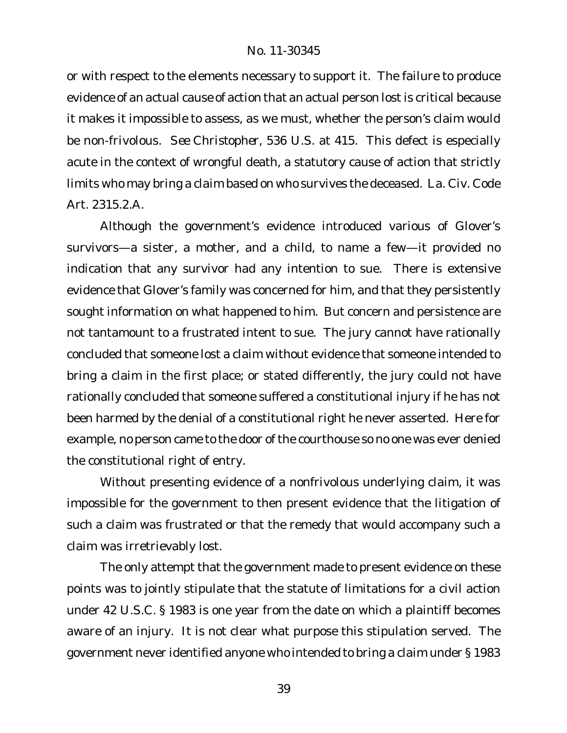or with respect to the elements necessary to support it. The failure to produce evidence of an actual cause of action that an actual person lost is critical because it makes it impossible to assess, as we must, whether the person's claim would be non-frivolous. *See Christopher*, 536 U.S. at 415. This defect is especially acute in the context of wrongful death, a statutory cause of action that strictly limits who may bring a claim based on who survives the deceased. La. Civ. Code Art. 2315.2.A.

Although the government's evidence introduced various of Glover's survivors—a sister, a mother, and a child, to name a few—it provided no indication that any survivor had any intention to sue. There is extensive evidence that Glover's family was concerned for him, and that they persistently sought information on what happened to him. But concern and persistence are not tantamount to a frustrated intent to sue. The jury cannot have rationally concluded that someone lost a claim without evidence that someone intended to bring a claim in the first place; or stated differently, the jury could not have rationally concluded that someone suffered a constitutional injury if he has not been harmed by the denial of a constitutional right he never asserted. Here for example, no person came to the door of the courthouse so no one was ever denied the constitutional right of entry.

Without presenting evidence of a nonfrivolous underlying claim, it was impossible for the government to then present evidence that the litigation of such a claim was frustrated or that the remedy that would accompany such a claim was irretrievably lost.

The only attempt that the government made to present evidence on these points was to jointly stipulate that the statute of limitations for a civil action under 42 U.S.C. § 1983 is one year from the date on which a plaintiff becomes aware of an injury. It is not clear what purpose this stipulation served. The government never identified anyone who intended to bring a claim under § 1983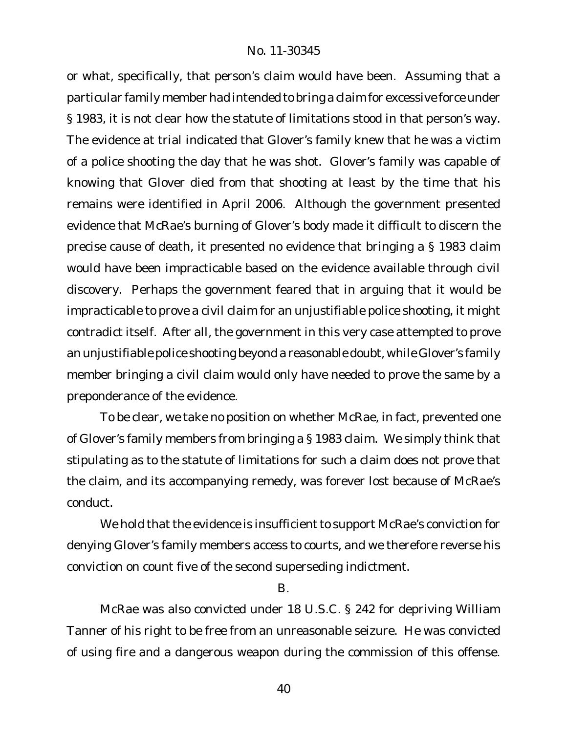or what, specifically, that person's claim would have been. Assuming that a particular family member had intended to bring a claim for excessive force under § 1983, it is not clear how the statute of limitations stood in that person's way. The evidence at trial indicated that Glover's family knew that he was a victim of a police shooting the day that he was shot. Glover's family was capable of knowing that Glover died from that shooting at least by the time that his remains were identified in April 2006. Although the government presented evidence that McRae's burning of Glover's body made it difficult to discern the precise cause of death, it presented no evidence that bringing a § 1983 claim would have been impracticable based on the evidence available through civil discovery. Perhaps the government feared that in arguing that it would be impracticable to prove a civil claim for an unjustifiable police shooting, it might contradict itself. After all, the government in this very case attempted to prove an unjustifiable police shooting beyond a reasonable doubt, while Glover's family member bringing a civil claim would only have needed to prove the same by a preponderance of the evidence.

To be clear, we take no position on whether McRae, in fact, prevented one of Glover's family members from bringing a § 1983 claim. We simply think that stipulating as to the statute of limitations for such a claim does not prove that the claim, and its accompanying remedy, was forever lost because of McRae's conduct.

We hold that the evidence is insufficient to support McRae's conviction for denying Glover's family members access to courts, and we therefore reverse his conviction on count five of the second superseding indictment.

B.

McRae was also convicted under 18 U.S.C. § 242 for depriving William Tanner of his right to be free from an unreasonable seizure. He was convicted of using fire and a dangerous weapon during the commission of this offense.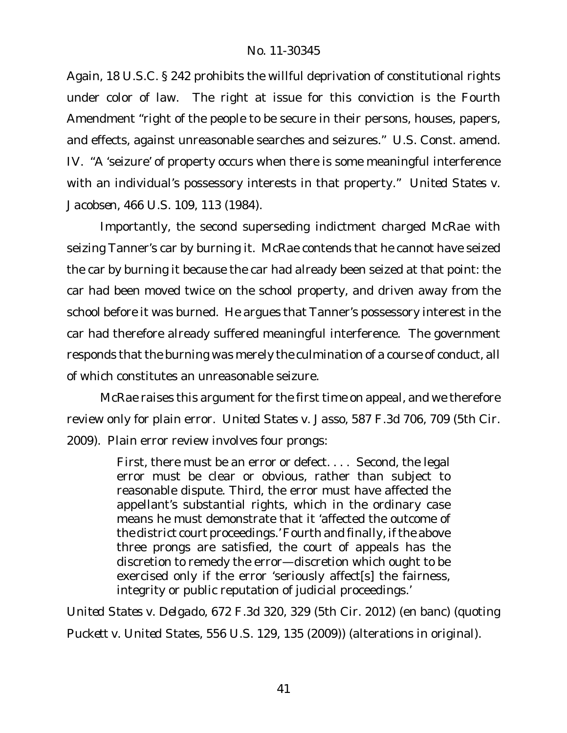Again, 18 U.S.C. § 242 prohibits the willful deprivation of constitutional rights under color of law. The right at issue for this conviction is the Fourth Amendment "right of the people to be secure in their persons, houses, papers, and effects, against unreasonable searches and seizures." U.S. Const. amend. IV. "A 'seizure' of property occurs when there is some meaningful interference with an individual's possessory interests in that property." *United States v. Jacobsen*, 466 U.S. 109, 113 (1984).

Importantly, the second superseding indictment charged McRae with seizing Tanner's car by burning it. McRae contends that he cannot have seized the car by burning it because the car had already been seized at that point: the car had been moved twice on the school property, and driven away from the school before it was burned. He argues that Tanner's possessory interest in the car had therefore already suffered meaningful interference. The government responds that the burning was merely the culmination of a course of conduct, all of which constitutes an unreasonable seizure.

McRae raises this argument for the first time on appeal, and we therefore review only for plain error. *United States v. Jasso*, 587 F.3d 706, 709 (5th Cir. 2009). Plain error review involves four prongs:

> First, there must be an error or defect. . . . Second, the legal error must be clear or obvious, rather than subject to reasonable dispute. Third, the error must have affected the appellant's substantial rights, which in the ordinary case means he must demonstrate that it 'affected the outcome of the district court proceedings.' Fourth and finally, if the above three prongs are satisfied, the court of appeals has the discretion to remedy the error—discretion which ought to be exercised only if the error 'seriously affect[s] the fairness, integrity or public reputation of judicial proceedings.'

*United States v. Delgado*, 672 F.3d 320, 329 (5th Cir. 2012) (en banc) (quoting *Puckett v. United States*, 556 U.S. 129, 135 (2009)) (alterations in original).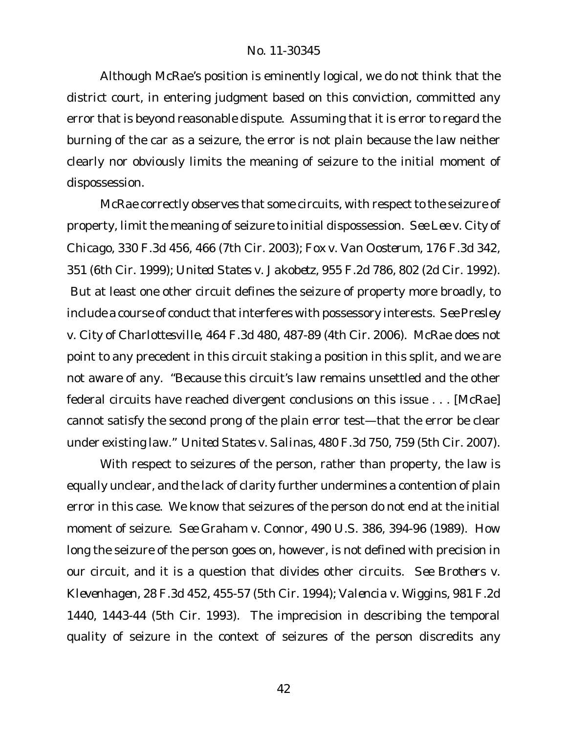Although McRae's position is eminently logical, we do not think that the district court, in entering judgment based on this conviction, committed any error that is beyond reasonable dispute. Assuming that it is error to regard the burning of the car as a seizure, the error is not plain because the law neither clearly nor obviously limits the meaning of seizure to the initial moment of dispossession.

McRae correctly observes that some circuits, with respect to the seizure of property, limit the meaning of seizure to initial dispossession. *See Lee v. City of Chicago*, 330 F.3d 456, 466 (7th Cir. 2003); *Fox v. Van Oosterum*, 176 F.3d 342, 351 (6th Cir. 1999); *United States v. Jakobetz*, 955 F.2d 786, 802 (2d Cir. 1992). But at least one other circuit defines the seizure of property more broadly, to include a course of conduct that interferes with possessory interests. See Presley *v. City of Charlottesville*, 464 F.3d 480, 487-89 (4th Cir. 2006). McRae does not point to any precedent in this circuit staking a position in this split, and we are not aware of any. "Because this circuit's law remains unsettled and the other federal circuits have reached divergent conclusions on this issue . . . [McRae] cannot satisfy the second prong of the plain error test—that the error be clear under existing law." *United States v. Salinas*, 480 F.3d 750, 759 (5th Cir. 2007).

With respect to seizures of the person, rather than property, the law is equally unclear, and the lack of clarity further undermines a contention of plain error in this case. We know that seizures of the person do not end at the initial moment of seizure. *See Graham v. Connor*, 490 U.S. 386, 394-96 (1989). How long the seizure of the person goes on, however, is not defined with precision in our circuit, and it is a question that divides other circuits. *See Brothers v. Klevenhagen*, 28 F.3d 452, 455-57 (5th Cir. 1994); *Valencia v. Wiggins*, 981 F.2d 1440, 1443-44 (5th Cir. 1993). The imprecision in describing the temporal quality of seizure in the context of seizures of the person discredits any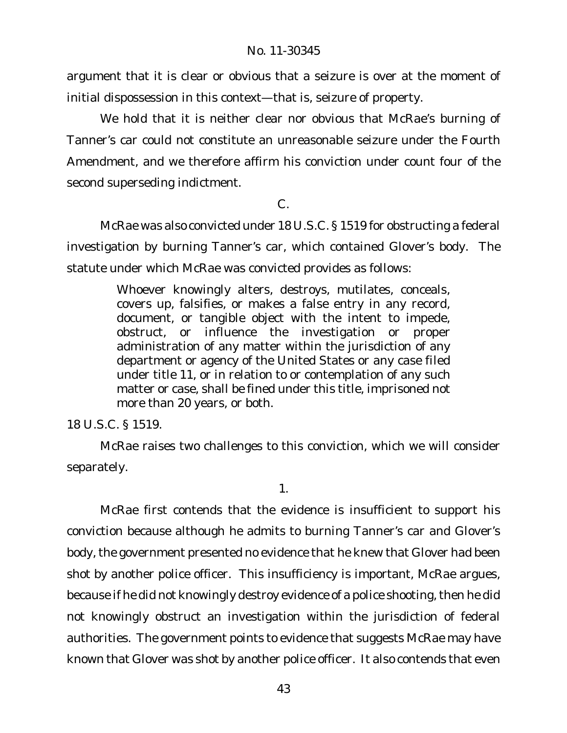argument that it is clear or obvious that a seizure is over at the moment of initial dispossession in this context—that is, seizure of property.

We hold that it is neither clear nor obvious that McRae's burning of Tanner's car could not constitute an unreasonable seizure under the Fourth Amendment, and we therefore affirm his conviction under count four of the second superseding indictment.

# C.

McRae was also convicted under 18 U.S.C. § 1519 for obstructing a federal investigation by burning Tanner's car, which contained Glover's body. The statute under which McRae was convicted provides as follows:

> Whoever knowingly alters, destroys, mutilates, conceals, covers up, falsifies, or makes a false entry in any record, document, or tangible object with the intent to impede, obstruct, or influence the investigation or proper administration of any matter within the jurisdiction of any department or agency of the United States or any case filed under title 11, or in relation to or contemplation of any such matter or case, shall be fined under this title, imprisoned not more than 20 years, or both.

# 18 U.S.C. § 1519.

McRae raises two challenges to this conviction, which we will consider separately.

1.

McRae first contends that the evidence is insufficient to support his conviction because although he admits to burning Tanner's car and Glover's body, the government presented no evidence that he knew that Glover had been shot by another police officer. This insufficiency is important, McRae argues, because if he did not knowingly destroy evidence of a police shooting, then he did not knowingly obstruct an investigation within the jurisdiction of federal authorities. The government points to evidence that suggests McRae may have known that Glover was shot by another police officer. It also contends that even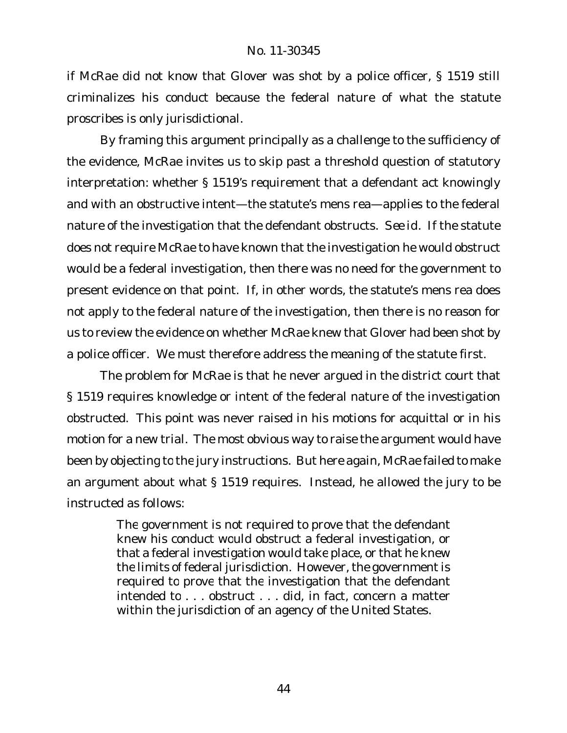if McRae did not know that Glover was shot by a police officer, § 1519 still criminalizes his conduct because the federal nature of what the statute proscribes is only jurisdictional.

By framing this argument principally as a challenge to the sufficiency of the evidence, McRae invites us to skip past a threshold question of statutory interpretation: whether § 1519's requirement that a defendant act knowingly and with an obstructive intent—the statute's mens rea—applies to the federal nature of the investigation that the defendant obstructs. *See id*. If the statute does not require McRae to have known that the investigation he would obstruct would be a federal investigation, then there was no need for the government to present evidence on that point. If, in other words, the statute's mens rea does not apply to the federal nature of the investigation, then there is no reason for us to review the evidence on whether McRae knew that Glover had been shot by a police officer. We must therefore address the meaning of the statute first.

The problem for McRae is that he never argued in the district court that § 1519 requires knowledge or intent of the federal nature of the investigation obstructed. This point was never raised in his motions for acquittal or in his motion for a new trial. The most obvious way to raise the argument would have been by objecting to the jury instructions. But here again, McRae failed to make an argument about what § 1519 requires. Instead, he allowed the jury to be instructed as follows:

> The government is not required to prove that the defendant knew his conduct would obstruct a federal investigation, or that a federal investigation would take place, or that he knew the limits of federal jurisdiction. However, the government is required to prove that the investigation that the defendant intended to . . . obstruct . . . did, in fact, concern a matter within the jurisdiction of an agency of the United States.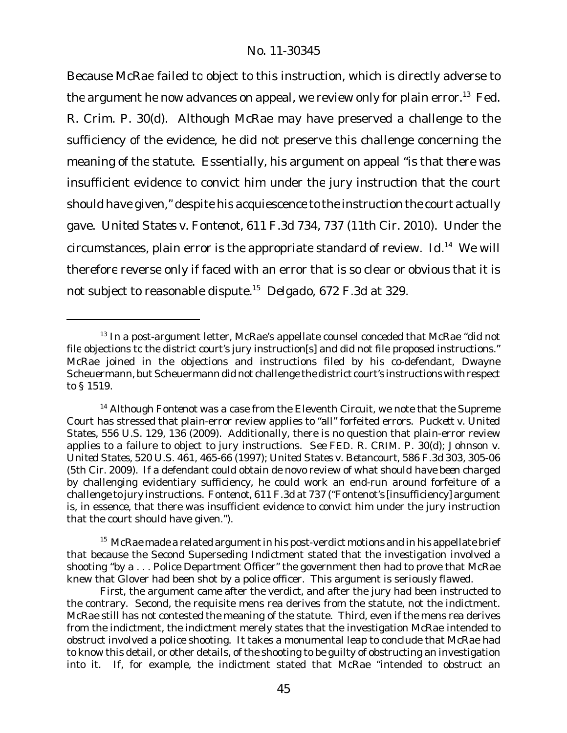Because McRae failed to object to this instruction, which is directly adverse to the argument he now advances on appeal, we review only for plain error.<sup>13</sup> Fed. R. Crim. P. 30(d). Although McRae may have preserved a challenge to the sufficiency of the evidence, he did not preserve this challenge concerning the meaning of the statute. Essentially, his argument on appeal "is that there was insufficient evidence to convict him under the jury instruction that the court should have given," despite his acquiescence to the instruction the court actually gave. *United States v. Fontenot*, 611 F.3d 734, 737 (11th Cir. 2010). Under the circumstances, plain error is the appropriate standard of review. *Id*. <sup>14</sup> We will therefore reverse only if faced with an error that is so clear or obvious that it is not subject to reasonable dispute.<sup>15</sup> *Delgado*, 672 F.3d at 329.

<sup>&</sup>lt;sup>13</sup> In a post-argument letter, McRae's appellate counsel conceded that McRae "did not file objections to the district court's jury instruction[s] and did not file proposed instructions." McRae joined in the objections and instructions filed by his co-defendant, Dwayne Scheuermann, but Scheuermann did not challenge the district court's instructionswithrespect to § 1519.

<sup>&</sup>lt;sup>14</sup> Although Fontenot was a case from the Eleventh Circuit, we note that the Supreme Court has stressed that plain-error review applies to "all" forfeited errors. *Puckett v. United States*, 556 U.S. 129, 136 (2009). Additionally, there is no question that plain-error review applies to a failure to object to jury instructions. *See* FED. R. CRIM. P. 30(d); *Johnson v. United States*, 520 U.S. 461, 465-66 (1997); *United States v. Betancourt*, 586 F.3d 303, 305-06 (5th Cir. 2009). If a defendant could obtain de novo review of what *should have been* charged by challenging evidentiary sufficiency, he could work an end-run around forfeiture of a challenge to jury instructions. *Fontenot*, 611 F.3d at 737 ("Fontenot's [insufficiency] argument is, in essence, that there was insufficient evidence to convict him under the jury instruction that the court should have given.").

 $15$  McRae made a related argument in his post-verdict motions and in his appellate brief that because the Second Superseding Indictment stated that the investigation involved a shooting "by a . . . Police Department Officer" the government then had to prove that McRae knew that Glover had been shot by a police officer. This argument is seriously flawed.

First, the argument came after the verdict, and after the jury had been instructed to the contrary. Second, the requisite mens rea derives from the statute, not the indictment. McRae still has not contested the meaning of the statute. Third, even if the mens rea derives from the indictment, the indictment merely states that the investigation McRae intended to obstruct involved a police shooting. It takes a monumental leap to conclude that McRae had to know this detail, or other details, of the shooting to be guilty of obstructing an investigation into it. If, for example, the indictment stated that McRae "intended to obstruct an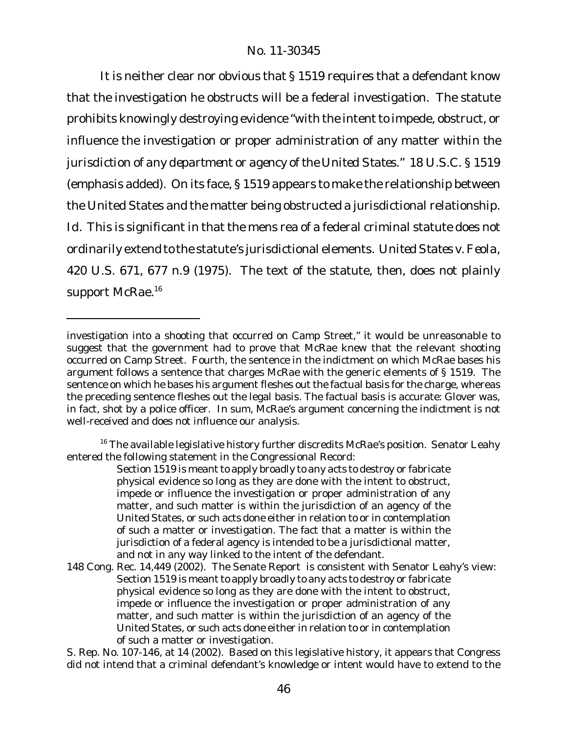It is neither clear nor obvious that § 1519 requires that a defendant know that the investigation he obstructs will be a federal investigation. The statute prohibits knowingly destroying evidence "with the intent to impede, obstruct, or influence the investigation or proper administration of any matter *within the jurisdiction of any department or agency of the United States*." 18 U.S.C. § 1519 (emphasis added). On its face, § 1519 appears to make the relationship between the United States and the matter being obstructed a jurisdictional relationship. *Id*. This is significant in that the mens rea of a federal criminal statute does not ordinarily extend to the statute's jurisdictional elements. *UnitedStates v.Feola*, 420 U.S. 671, 677 n.9 (1975). The text of the statute, then, does not plainly support McRae.<sup>16</sup>

 $16$  The available legislative history further discredits McRae's position. Senator Leahy entered the following statement in the Congressional Record:

Section 1519 is meant to apply broadly to any acts to destroy or fabricate physical evidence so long as they are done with the intent to obstruct, impede or influence the investigation or proper administration of any matter, and such matter is within the jurisdiction of an agency of the United States, or such acts done either in relation to or in contemplation of such a matter or investigation. The fact that a matter is within the jurisdiction of a federal agency is intended to be a jurisdictional matter, and not in any way linked to the intent of the defendant.

148 Cong. Rec. 14,449 (2002). The Senate Report is consistent with Senator Leahy's view: Section 1519 is meant to apply broadly to any acts to destroy or fabricate physical evidence so long as they are done with the intent to obstruct, impede or influence the investigation or proper administration of any matter, and such matter is within the jurisdiction of an agency of the United States, or such acts done either in relation to or in contemplation of such a matter or investigation.

S. Rep. No. 107-146, at 14 (2002). Based on this legislative history, it appears that Congress did not intend that a criminal defendant's knowledge or intent would have to extend to the

investigation into a shooting that occurred on Camp Street," it would be unreasonable to suggest that the government had to prove that McRae knew that the relevant shooting occurred on Camp Street. Fourth, the sentence in the indictment on which McRae bases his argument follows a sentence that charges McRae with the generic elements of § 1519. The sentence on which he bases his argument fleshes out the factual basis for the charge, whereas the preceding sentence fleshes out the legal basis. The factual basis is accurate: Glover was, in fact, shot by a police officer. In sum, McRae's argument concerning the indictment is not well-received and does not influence our analysis.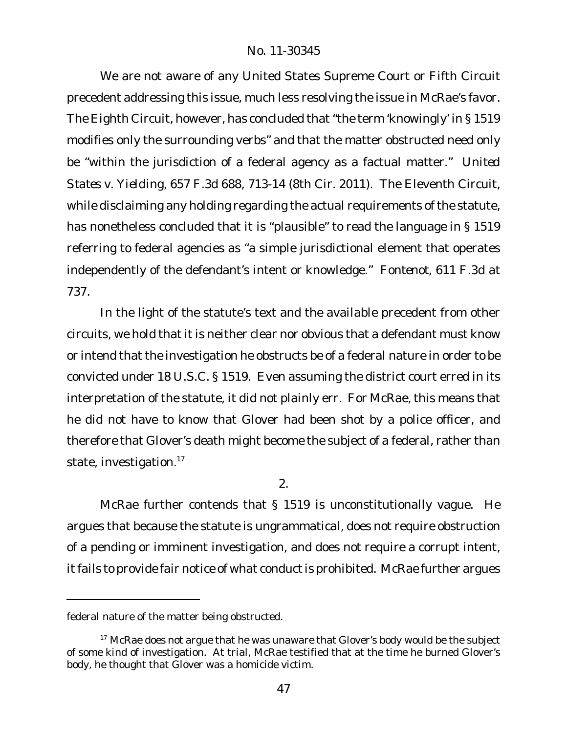We are not aware of any United States Supreme Court or Fifth Circuit precedent addressing this issue, much less resolving the issue in McRae's favor. The Eighth Circuit, however, has concluded that "the term 'knowingly' in § 1519 modifies only the surrounding verbs" and that the matter obstructed need only be "within the jurisdiction of a federal agency as a factual matter." *United States v. Yielding*, 657 F.3d 688, 713-14 (8th Cir. 2011). The Eleventh Circuit, while disclaiming any holding regarding the actual requirements of the statute, has nonetheless concluded that it is "plausible" to read the language in § 1519 referring to federal agencies as "a simple jurisdictional element that operates independently of the defendant's intent or knowledge." *Fontenot*, 611 F.3d at 737.

In the light of the statute's text and the available precedent from other circuits, we hold that it is neither clear nor obvious that a defendant must know or intend that the investigation he obstructs be of a federal nature in order to be convicted under 18 U.S.C. § 1519. Even assuming the district court erred in its interpretation of the statute, it did not plainly err. For McRae, this means that he did not have to know that Glover had been shot by a police officer, and therefore that Glover's death might become the subject of a federal, rather than state, investigation.<sup>17</sup>

2.

McRae further contends that § 1519 is unconstitutionally vague. He argues that because the statute is ungrammatical, does not require obstruction of a pending or imminent investigation, and does not require a corrupt intent, it fails to provide fair notice of what conduct is prohibited. McRae further argues

federal nature of the matter being obstructed.

 $17$  McRae does not argue that he was unaware that Glover's body would be the subject of some kind of investigation. At trial, McRae testified that at the time he burned Glover's body, he thought that Glover was a homicide victim.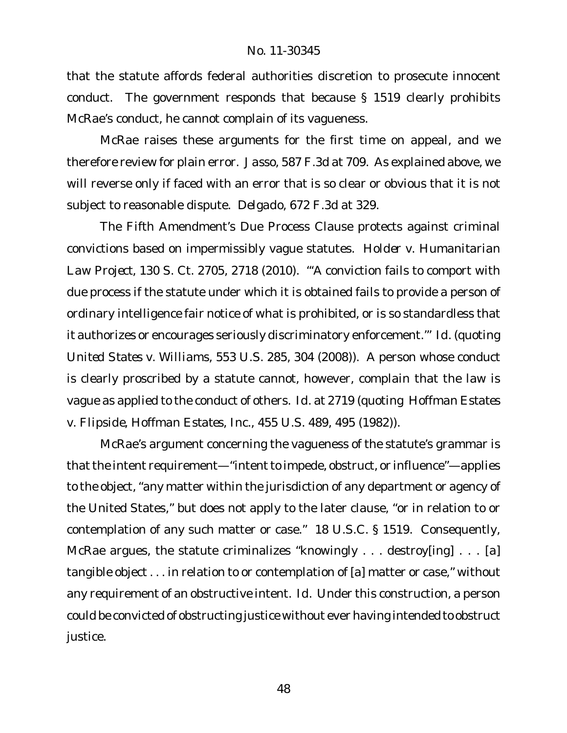that the statute affords federal authorities discretion to prosecute innocent conduct. The government responds that because § 1519 clearly prohibits McRae's conduct, he cannot complain of its vagueness.

McRae raises these arguments for the first time on appeal, and we therefore review for plain error. *Jasso*, 587 F.3d at 709. As explained above, we will reverse only if faced with an error that is so clear or obvious that it is not subject to reasonable dispute. *Delgado*, 672 F.3d at 329.

The Fifth Amendment's Due Process Clause protects against criminal convictions based on impermissibly vague statutes. *Holder v. Humanitarian Law Project*, 130 S. Ct. 2705, 2718 (2010). "'A conviction fails to comport with due process if the statute under which it is obtained fails to provide a person of ordinary intelligence fair notice of what is prohibited, or is so standardless that it authorizes or encourages seriously discriminatory enforcement.'" *Id.* (quoting *United States v. Williams*, 553 U.S. 285, 304 (2008)). A person whose conduct is clearly proscribed by a statute cannot, however, complain that the law is vague as applied to the conduct of others. *Id*. at 2719 (quoting *Hoffman Estates v. Flipside, Hoffman Estates, Inc.*, 455 U.S. 489, 495 (1982)).

McRae's argument concerning the vagueness of the statute's grammar is that the intent requirement—"intent to impede, obstruct, or influence"—applies to the object, "any matter within the jurisdiction of any department or agency of the United States," but does not apply to the later clause, "or in relation to or contemplation of any such matter or case." 18 U.S.C. § 1519. Consequently, McRae argues, the statute criminalizes "knowingly . . . destroy[ing] . . . [a] tangible object . . . in relation to or contemplation of [a] matter or case," without any requirement of an obstructive intent. *Id*. Under this construction, a person could be convicted of obstructing justice without ever having intended to obstruct justice.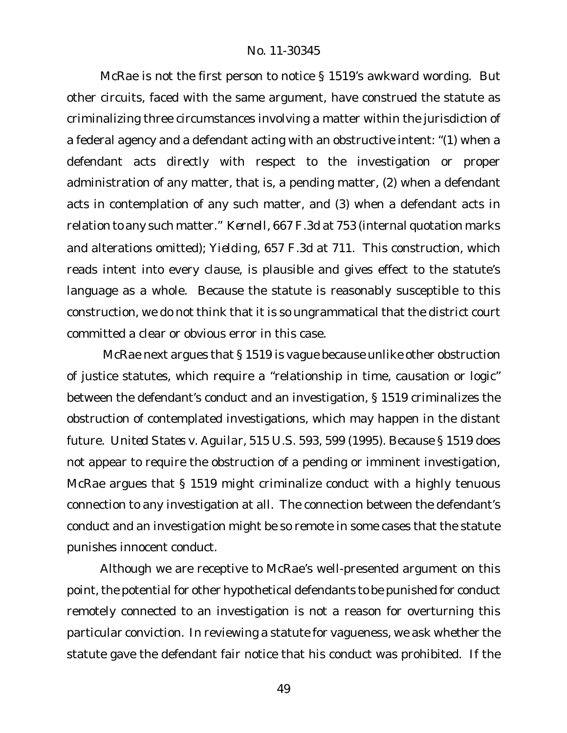McRae is not the first person to notice § 1519's awkward wording. But other circuits, faced with the same argument, have construed the statute as criminalizing three circumstances involving a matter within the jurisdiction of a federal agency and a defendant acting with an obstructive intent: "(1) when a defendant acts directly with respect to the investigation or proper administration of any matter, that is, a pending matter, (2) when a defendant acts in contemplation of any such matter, and (3) when a defendant acts in relation to any such matter." *Kernell*, 667 F.3d at 753 (internal quotation marks and alterations omitted); *Yielding*, 657 F.3d at 711. This construction, which reads intent into every clause, is plausible and gives effect to the statute's language as a whole. Because the statute is reasonably susceptible to this construction, we do not think that it is so ungrammatical that the district court committed a clear or obvious error in this case.

McRae next argues that § 1519 is vague because unlike other obstruction of justice statutes, which require a "relationship in time, causation or logic" between the defendant's conduct and an investigation, § 1519 criminalizes the obstruction of contemplated investigations, which may happen in the distant future. *United States v. Aguilar*, 515 U.S. 593, 599 (1995). Because § 1519 does not appear to require the obstruction of a pending or imminent investigation, McRae argues that § 1519 might criminalize conduct with a highly tenuous connection to any investigation at all. The connection between the defendant's conduct and an investigation might be so remote in some cases that the statute punishes innocent conduct.

Although we are receptive to McRae's well-presented argument on this point, the potential for other hypothetical defendants to be punished for conduct remotely connected to an investigation is not a reason for overturning this particular conviction. In reviewing a statute for vagueness, we ask whether the statute gave the defendant fair notice that his conduct was prohibited. If the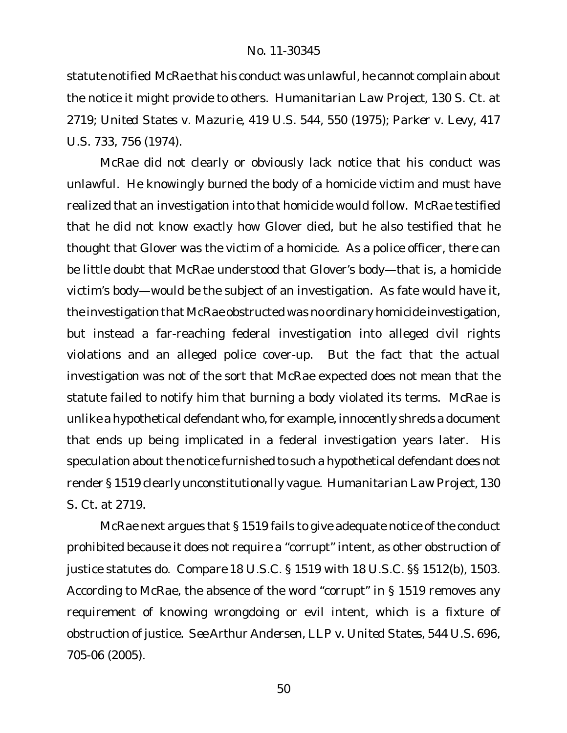statute notified McRae that his conduct was unlawful, he cannot complain about the notice it might provide to others. *Humanitarian Law Project*, 130 S. Ct. at 2719; *United States v. Mazurie*, 419 U.S. 544, 550 (1975); *Parker v. Levy*, 417 U.S. 733, 756 (1974).

McRae did not clearly or obviously lack notice that his conduct was unlawful. He knowingly burned the body of a homicide victim and must have realized that an investigation into that homicide would follow. McRae testified that he did not know exactly how Glover died, but he also testified that he thought that Glover was the victim of a homicide. As a police officer, there can be little doubt that McRae understood that Glover's body—that is, a homicide victim's body—would be the subject of an investigation. As fate would have it, the investigation that McRae obstructed was no ordinary homicide investigation, but instead a far-reaching federal investigation into alleged civil rights violations and an alleged police cover-up. But the fact that the actual investigation was not of the sort that McRae expected does not mean that the statute failed to notify him that burning a body violated its terms. McRae is unlike a hypothetical defendant who, for example, innocently shreds a document that ends up being implicated in a federal investigation years later. His speculation about the notice furnished to such a hypothetical defendant does not render § 1519 clearly unconstitutionally vague. *Humanitarian Law Project*, 130 S. Ct. at 2719.

McRae next argues that § 1519 fails to give adequate notice of the conduct prohibited because it does not require a "corrupt" intent, as other obstruction of justice statutes do. *Compare* 18 U.S.C. § 1519 *with* 18 U.S.C. §§ 1512(b), 1503. According to McRae, the absence of the word "corrupt" in § 1519 removes any requirement of knowing wrongdoing or evil intent, which is a fixture of obstruction of justice. *See Arthur Andersen, LLP v. United States*, 544 U.S. 696, 705-06 (2005).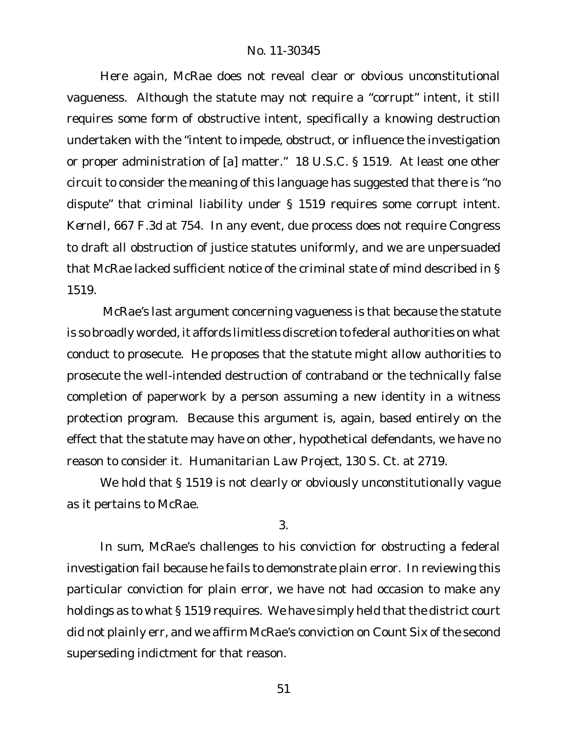Here again, McRae does not reveal clear or obvious unconstitutional vagueness. Although the statute may not require a "corrupt" intent, it still requires some form of obstructive intent, specifically a knowing destruction undertaken with the "intent to impede, obstruct, or influence the investigation or proper administration of [a] matter." 18 U.S.C. § 1519. At least one other circuit to consider the meaning of this language has suggested that there is "no dispute" that criminal liability under § 1519 requires some corrupt intent. *Kernell*, 667 F.3d at 754. In any event, due process does not require Congress to draft all obstruction of justice statutes uniformly, and we are unpersuaded that McRae lacked sufficient notice of the criminal state of mind described in § 1519.

McRae's last argument concerning vagueness is that because the statute is so broadly worded, it affords limitless discretion to federal authorities on what conduct to prosecute. He proposes that the statute might allow authorities to prosecute the well-intended destruction of contraband or the technically false completion of paperwork by a person assuming a new identity in a witness protection program. Because this argument is, again, based entirely on the effect that the statute may have on other, hypothetical defendants, we have no reason to consider it. *Humanitarian Law Project*, 130 S. Ct. at 2719.

We hold that § 1519 is not clearly or obviously unconstitutionally vague as it pertains to McRae.

3.

In sum, McRae's challenges to his conviction for obstructing a federal investigation fail because he fails to demonstrate plain error. In reviewing this particular conviction for plain error, we have not had occasion to make any holdings as to what § 1519 requires. We have simply held that the district court did not plainly err, and we affirm McRae's conviction on Count Six of the second superseding indictment for that reason.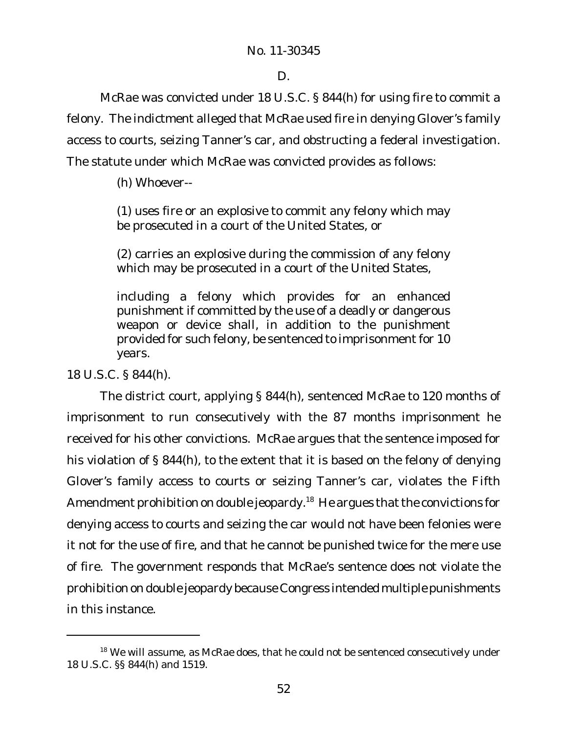D.

McRae was convicted under 18 U.S.C. § 844(h) for using fire to commit a felony. The indictment alleged that McRae used fire in denying Glover's family access to courts, seizing Tanner's car, and obstructing a federal investigation. The statute under which McRae was convicted provides as follows:

(h) Whoever--

(1) uses fire or an explosive to commit any felony which may be prosecuted in a court of the United States, or

(2) carries an explosive during the commission of any felony which may be prosecuted in a court of the United States,

including a felony which provides for an enhanced punishment if committed by the use of a deadly or dangerous weapon or device shall, in addition to the punishment provided for such felony, be sentenced to imprisonment for 10 years.

18 U.S.C. § 844(h).

The district court, applying § 844(h), sentenced McRae to 120 months of imprisonment to run consecutively with the 87 months imprisonment he received for his other convictions. McRae argues that the sentence imposed for his violation of § 844(h), to the extent that it is based on the felony of denying Glover's family access to courts or seizing Tanner's car, violates the Fifth Amendment prohibition on double jeopardy.<sup>18</sup> He argues that the convictions for denying access to courts and seizing the car would not have been felonies were it not for the use of fire, and that he cannot be punished twice for the mere use of fire. The government responds that McRae's sentence does not violate the prohibition on double jeopardy because Congress intended multiple punishments in this instance.

<sup>&</sup>lt;sup>18</sup> We will assume, as McRae does, that he could not be sentenced consecutively under 18 U.S.C. §§ 844(h) and 1519.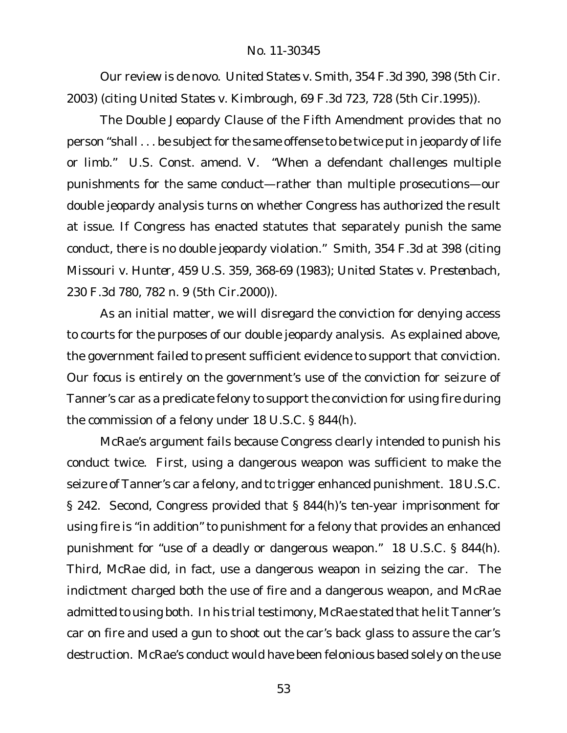Our review is de novo. *United States v. Smith*, 354 F.3d 390, 398 (5th Cir. 2003) (citing *United States v. Kimbrough*, 69 F.3d 723, 728 (5th Cir.1995)).

The Double Jeopardy Clause of the Fifth Amendment provides that no person "shall . . . be subject for the same offense to be twice put in jeopardy of life or limb." U.S. Const. amend. V. "When a defendant challenges multiple punishments for the same conduct—rather than multiple prosecutions—our double jeopardy analysis turns on whether Congress has authorized the result at issue. If Congress has enacted statutes that separately punish the same conduct, there is no double jeopardy violation." *Smith*, 354 F.3d at 398 (citing *Missouri v. Hunter*, 459 U.S. 359, 368-69 (1983); *United States v. Prestenbach*, 230 F.3d 780, 782 n. 9 (5th Cir.2000)).

As an initial matter, we will disregard the conviction for denying access to courts for the purposes of our double jeopardy analysis. As explained above, the government failed to present sufficient evidence to support that conviction. Our focus is entirely on the government's use of the conviction for seizure of Tanner's car as a predicate felony to support the conviction for using fire during the commission of a felony under 18 U.S.C. § 844(h).

McRae's argument fails because Congress clearly intended to punish his conduct twice. First, using a dangerous weapon was sufficient to make the seizure of Tanner's car a felony, and to trigger enhanced punishment. 18 U.S.C. § 242. Second, Congress provided that § 844(h)'s ten-year imprisonment for using fire is "in addition" to punishment for a felony that provides an enhanced punishment for "use of a deadly or dangerous weapon." 18 U.S.C. § 844(h). Third, McRae did, in fact, use a dangerous weapon in seizing the car. The indictment charged both the use of fire and a dangerous weapon, and McRae admitted to using both. In his trial testimony, McRae stated that he lit Tanner's car on fire and used a gun to shoot out the car's back glass to assure the car's destruction. McRae's conduct would have been felonious based solely on the use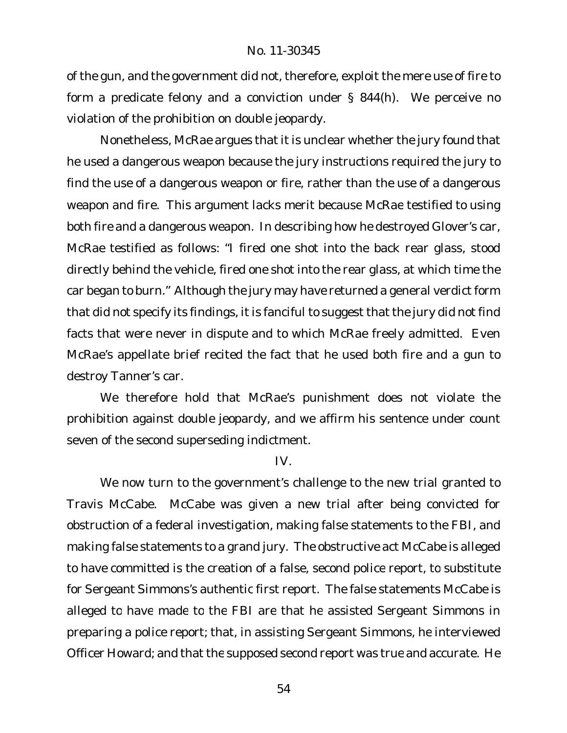of the gun, and the government did not, therefore, exploit the mere use of fire to form a predicate felony and a conviction under § 844(h). We perceive no violation of the prohibition on double jeopardy.

Nonetheless, McRae argues that it is unclear whether the jury found that he used a dangerous weapon because the jury instructions required the jury to find the use of a dangerous weapon *or* fire, rather than the use of a dangerous weapon *and* fire. This argument lacks merit because McRae testified to using both fire and a dangerous weapon. In describing how he destroyed Glover's car, McRae testified as follows: "I fired one shot into the back rear glass, stood directly behind the vehicle, fired one shot into the rear glass, at which time the car began to burn." Although the jury may have returned a general verdict form that did not specify its findings, it is fanciful to suggest that the jury did not find facts that were never in dispute and to which McRae freely admitted. Even McRae's appellate brief recited the fact that he used both fire and a gun to destroy Tanner's car.

We therefore hold that McRae's punishment does not violate the prohibition against double jeopardy, and we affirm his sentence under count seven of the second superseding indictment.

# IV.

We now turn to the government's challenge to the new trial granted to Travis McCabe. McCabe was given a new trial after being convicted for obstruction of a federal investigation, making false statements to the FBI, and making false statements to a grand jury. The obstructive act McCabe is alleged to have committed is the creation of a false, second police report, to substitute for Sergeant Simmons's authentic first report. The false statements McCabe is alleged to have made to the FBI are that he assisted Sergeant Simmons in preparing a police report; that, in assisting Sergeant Simmons, he interviewed Officer Howard; and that the supposed second report was true and accurate. He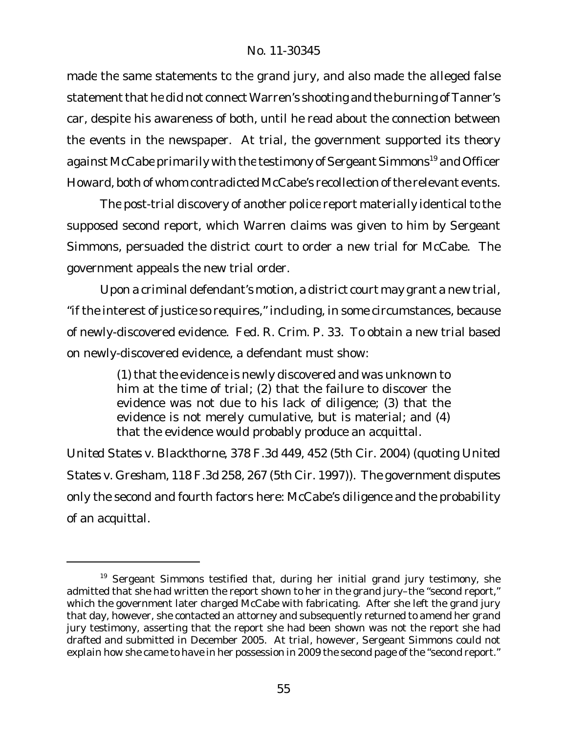made the same statements to the grand jury, and also made the alleged false statement that he did not connect Warren's shooting and the burning of Tanner's car, despite his awareness of both, until he read about the connection between the events in the newspaper. At trial, the government supported its theory against McCabe primarily with the testimony of Sergeant Simmons<sup>19</sup> and Officer Howard, both of whom contradicted McCabe's recollection of the relevant events.

The post-trial discovery of another police report materially identical to the supposed second report, which Warren claims was given to him by Sergeant Simmons, persuaded the district court to order a new trial for McCabe. The government appeals the new trial order.

Upon a criminal defendant's motion, a district court may grant a new trial, "if the interest of justice so requires," including, in some circumstances, because of newly-discovered evidence. Fed. R. Crim. P. 33. To obtain a new trial based on newly-discovered evidence, a defendant must show:

> (1) that the evidence is newly discovered and was unknown to him at the time of trial; (2) that the failure to discover the evidence was not due to his lack of diligence; (3) that the evidence is not merely cumulative, but is material; and (4) that the evidence would probably produce an acquittal.

*United States v. Blackthorne*, 378 F.3d 449, 452 (5th Cir. 2004) (quoting *United States v. Gresham*, 118 F.3d 258, 267 (5th Cir. 1997)). The government disputes only the second and fourth factors here: McCabe's diligence and the probability of an acquittal.

<sup>&</sup>lt;sup>19</sup> Sergeant Simmons testified that, during her initial grand jury testimony, she admitted that she had written the report shown to her in the grand jury–the "second report," which the government later charged McCabe with fabricating. After she left the grand jury that day, however, she contacted an attorney and subsequently returned to amend her grand jury testimony, asserting that the report she had been shown was not the report she had drafted and submitted in December 2005. At trial, however, Sergeant Simmons could not explain how she came to have in her possession in 2009 the second page of the "second report."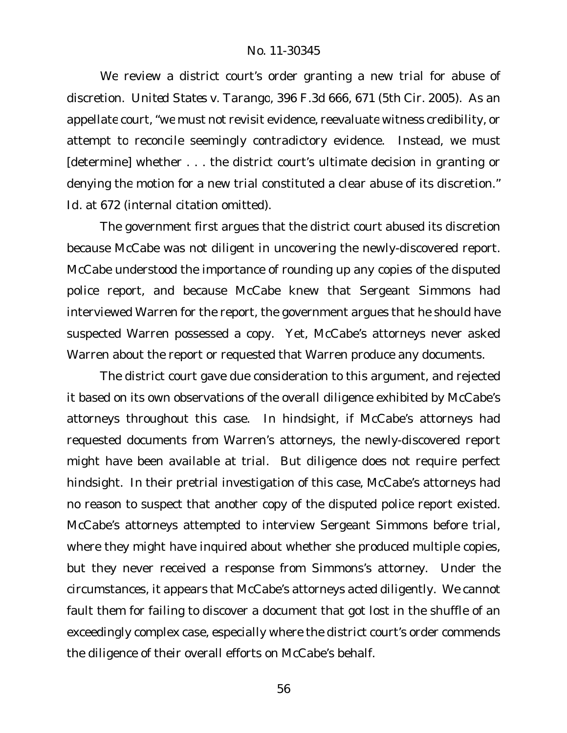We review a district court's order granting a new trial for abuse of discretion. *United States v. Tarango*, 396 F.3d 666, 671 (5th Cir. 2005). As an appellate court, "we must not revisit evidence, reevaluate witness credibility, or attempt to reconcile seemingly contradictory evidence. Instead, we must [determine] whether . . . the district court's ultimate decision in granting or denying the motion for a new trial constituted a clear abuse of its discretion." *Id.* at 672 (internal citation omitted).

The government first argues that the district court abused its discretion because McCabe was not diligent in uncovering the newly-discovered report. McCabe understood the importance of rounding up any copies of the disputed police report, and because McCabe knew that Sergeant Simmons had interviewed Warren for the report, the government argues that he should have suspected Warren possessed a copy. Yet, McCabe's attorneys never asked Warren about the report or requested that Warren produce any documents.

The district court gave due consideration to this argument, and rejected it based on its own observations of the overall diligence exhibited by McCabe's attorneys throughout this case. In hindsight, if McCabe's attorneys had requested documents from Warren's attorneys, the newly-discovered report might have been available at trial. But diligence does not require perfect hindsight. In their pretrial investigation of this case, McCabe's attorneys had no reason to suspect that another copy of the disputed police report existed. McCabe's attorneys attempted to interview Sergeant Simmons before trial, where they might have inquired about whether she produced multiple copies, but they never received a response from Simmons's attorney. Under the circumstances, it appears that McCabe's attorneys acted diligently. We cannot fault them for failing to discover a document that got lost in the shuffle of an exceedingly complex case, especially where the district court's order commends the diligence of their overall efforts on McCabe's behalf.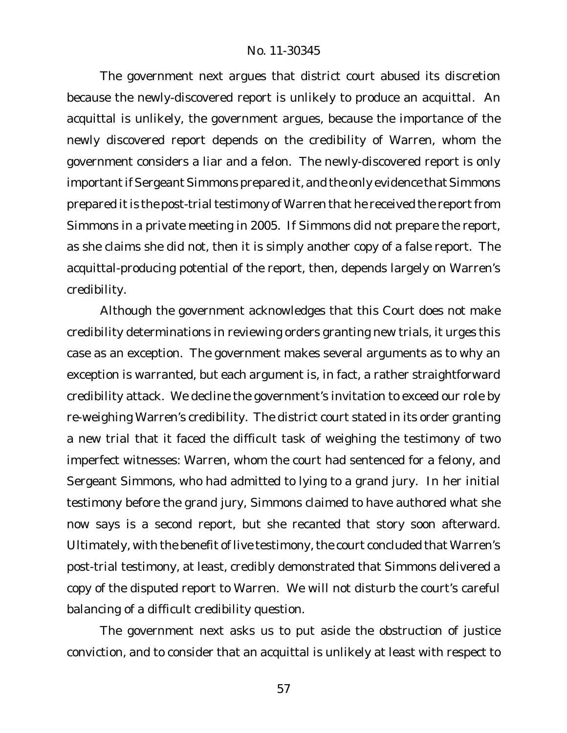The government next argues that district court abused its discretion because the newly-discovered report is unlikely to produce an acquittal. An acquittal is unlikely, the government argues, because the importance of the newly discovered report depends on the credibility of Warren, whom the government considers a liar and a felon. The newly-discovered report is only important if Sergeant Simmons prepared it, and the only evidence that Simmons prepared it is the post-trial testimony of Warren that he received the report from Simmons in a private meeting in 2005. If Simmons did not prepare the report, as she claims she did not, then it is simply another copy of a false report. The acquittal-producing potential of the report, then, depends largely on Warren's credibility.

Although the government acknowledges that this Court does not make credibility determinations in reviewing orders granting new trials, it urges this case as an exception. The government makes several arguments as to why an exception is warranted, but each argument is, in fact, a rather straightforward credibility attack. We decline the government's invitation to exceed our role by re-weighing Warren's credibility. The district court stated in its order granting a new trial that it faced the difficult task of weighing the testimony of two imperfect witnesses: Warren, whom the court had sentenced for a felony, and Sergeant Simmons, who had admitted to lying to a grand jury. In her initial testimony before the grand jury, Simmons claimed to have authored what she now says is a second report, but she recanted that story soon afterward. Ultimately, with the benefit of live testimony, the court concluded that Warren's post-trial testimony, at least, credibly demonstrated that Simmons delivered a copy of the disputed report to Warren. We will not disturb the court's careful balancing of a difficult credibility question.

The government next asks us to put aside the obstruction of justice conviction, and to consider that an acquittal is unlikely at least with respect to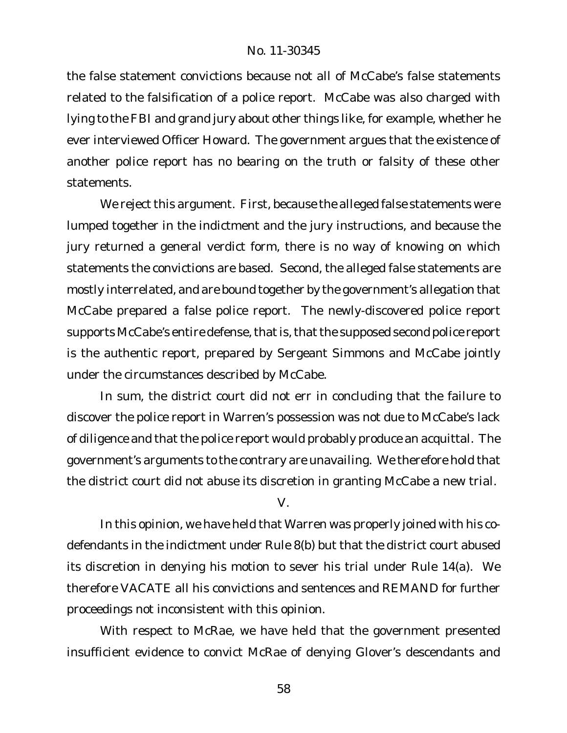the false statement convictions because not all of McCabe's false statements related to the falsification of a police report. McCabe was also charged with lying to the FBI and grand jury about other things like, for example, whether he ever interviewed Officer Howard. The government argues that the existence of another police report has no bearing on the truth or falsity of these other statements.

We reject this argument. First, because the alleged false statements were lumped together in the indictment and the jury instructions, and because the jury returned a general verdict form, there is no way of knowing on which statements the convictions are based. Second, the alleged false statements are mostly interrelated, and are bound together by the government's allegation that McCabe prepared a false police report. The newly-discovered police report supports McCabe's entire defense, that is, that the supposed second police report is the authentic report, prepared by Sergeant Simmons and McCabe jointly under the circumstances described by McCabe.

In sum, the district court did not err in concluding that the failure to discover the police report in Warren's possession was not due to McCabe's lack of diligence and that the police report would probably produce an acquittal. The government's arguments to the contrary are unavailing. We therefore hold that the district court did not abuse its discretion in granting McCabe a new trial.

V.

In this opinion, we have held that Warren was properly joined with his codefendants in the indictment under Rule 8(b) but that the district court abused its discretion in denying his motion to sever his trial under Rule 14(a). We therefore VACATE all his convictions and sentences and REMAND for further proceedings not inconsistent with this opinion.

With respect to McRae, we have held that the government presented insufficient evidence to convict McRae of denying Glover's descendants and